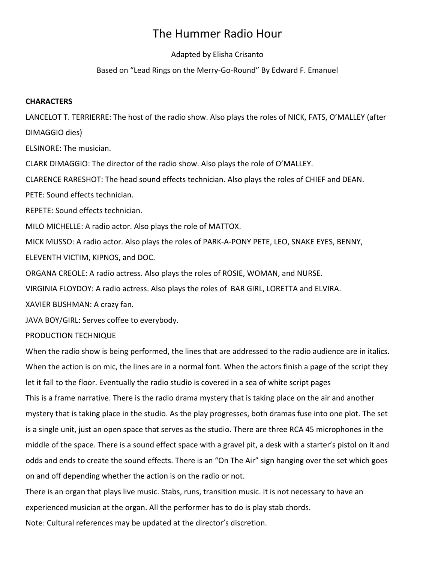# The Hummer Radio Hour

# Adapted by Elisha Crisanto

# Based on "Lead Rings on the Merry-Go-Round" By Edward F. Emanuel

#### **CHARACTERS**

LANCELOT T. TERRIERRE: The host of the radio show. Also plays the roles of NICK, FATS, O'MALLEY (after DIMAGGIO dies)

ELSINORE: The musician.

CLARK DIMAGGIO: The director of the radio show. Also plays the role of O'MALLEY.

CLARENCE RARESHOT: The head sound effects technician. Also plays the roles of CHIEF and DEAN.

PETE: Sound effects technician.

REPETE: Sound effects technician.

MILO MICHELLE: A radio actor. Also plays the role of MATTOX.

MICK MUSSO: A radio actor. Also plays the roles of PARK-A-PONY PETE, LEO, SNAKE EYES, BENNY, ELEVENTH VICTIM, KIPNOS, and DOC.

ORGANA CREOLE: A radio actress. Also plays the roles of ROSIE, WOMAN, and NURSE.

VIRGINIA FLOYDOY: A radio actress. Also plays the roles of BAR GIRL, LORETTA and ELVIRA.

XAVIER BUSHMAN: A crazy fan.

JAVA BOY/GIRL: Serves coffee to everybody.

PRODUCTION TECHNIQUE

When the radio show is being performed, the lines that are addressed to the radio audience are in italics. When the action is on mic, the lines are in a normal font. When the actors finish a page of the script they let it fall to the floor. Eventually the radio studio is covered in a sea of white script pages This is a frame narrative. There is the radio drama mystery that is taking place on the air and another mystery that is taking place in the studio. As the play progresses, both dramas fuse into one plot. The set is a single unit, just an open space that serves as the studio. There are three RCA 45 microphones in the middle of the space. There is a sound effect space with a gravel pit, a desk with a starter's pistol on it and odds and ends to create the sound effects. There is an "On The Air" sign hanging over the set which goes on and off depending whether the action is on the radio or not.

There is an organ that plays live music. Stabs, runs, transition music. It is not necessary to have an experienced musician at the organ. All the performer has to do is play stab chords.

Note: Cultural references may be updated at the director's discretion.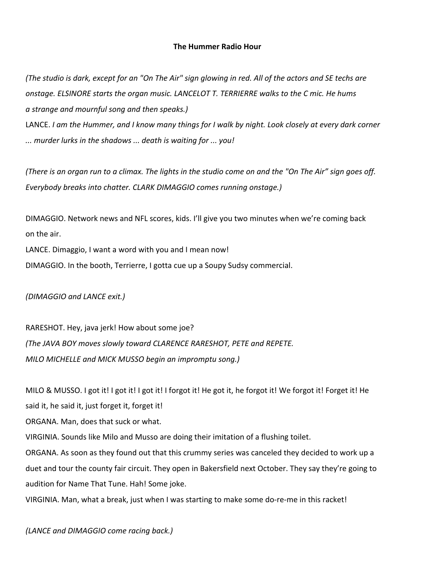## **The Hummer Radio Hour**

*(The studio is dark, except for an "On The Air" sign glowing in red. All of the actors and SE techs are onstage. ELSINORE starts the organ music. LANCELOT T. TERRIERRE walks to the C mic. He hums a strange and mournful song and then speaks.)*

LANCE. *I am the Hummer, and I know many things for I walk by night. Look closely at every dark corner ... murder lurks in the shadows ... death is waiting for ... you!*

*(There is an organ run to a climax. The lights in the studio come on and the "On The Air" sign goes off. Everybody breaks into chatter. CLARK DIMAGGIO comes running onstage.)*

DIMAGGIO. Network news and NFL scores, kids. I'll give you two minutes when we're coming back on the air.

LANCE. Dimaggio, I want a word with you and I mean now! DIMAGGIO. In the booth, Terrierre, I gotta cue up a Soupy Sudsy commercial.

*(DIMAGGIO and LANCE exit.)*

RARESHOT. Hey, java jerk! How about some joe? *(The JAVA BOY moves slowly toward CLARENCE RARESHOT, PETE and REPETE. MILO MICHELLE and MICK MUSSO begin an impromptu song.)*

MILO & MUSSO. I got it! I got it! I got it! I forgot it! He got it, he forgot it! We forgot it! Forget it! He said it, he said it, just forget it, forget it! ORGANA. Man, does that suck or what. VIRGINIA. Sounds like Milo and Musso are doing their imitation of a flushing toilet. ORGANA. As soon as they found out that this crummy series was canceled they decided to work up a duet and tour the county fair circuit. They open in Bakersfield next October. They say they're going to audition for Name That Tune. Hah! Some joke. VIRGINIA. Man, what a break, just when I was starting to make some do-re-me in this racket!

*(LANCE and DIMAGGIO come racing back.)*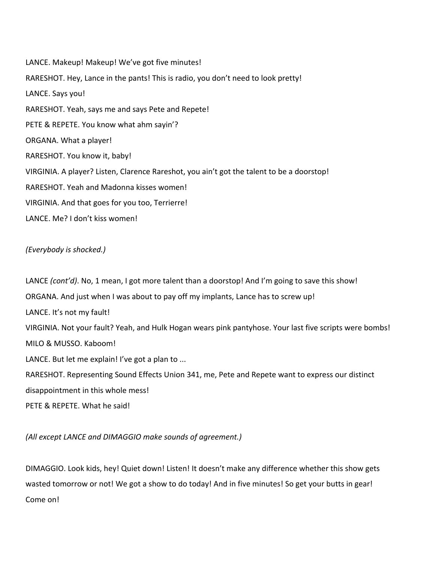LANCE. Makeup! Makeup! We've got five minutes! RARESHOT. Hey, Lance in the pants! This is radio, you don't need to look pretty! LANCE. Says you! RARESHOT. Yeah, says me and says Pete and Repete! PETE & REPETE. You know what ahm sayin'? ORGANA. What a player! RARESHOT. You know it, baby! VIRGINIA. A player? Listen, Clarence Rareshot, you ain't got the talent to be a doorstop! RARESHOT. Yeah and Madonna kisses women! VIRGINIA. And that goes for you too, Terrierre! LANCE. Me? I don't kiss women!

# *(Everybody is shocked.)*

LANCE *(cont'd)*. No, 1 mean, I got more talent than a doorstop! And I'm going to save this show! ORGANA. And just when I was about to pay off my implants, Lance has to screw up! LANCE. It's not my fault! VIRGINIA. Not your fault? Yeah, and Hulk Hogan wears pink pantyhose. Your last five scripts were bombs! MILO & MUSSO. Kaboom! LANCE. But let me explain! I've got a plan to ... RARESHOT. Representing Sound Effects Union 341, me, Pete and Repete want to express our distinct disappointment in this whole mess! PETE & REPETE. What he said!

*(All except LANCE and DIMAGGIO make sounds of agreement.)*

DIMAGGIO. Look kids, hey! Quiet down! Listen! It doesn't make any difference whether this show gets wasted tomorrow or not! We got a show to do today! And in five minutes! So get your butts in gear! Come on!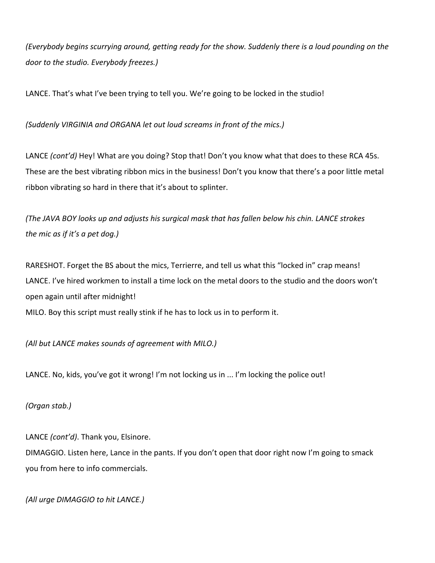*(Everybody begins scurrying around, getting ready for the show. Suddenly there is a loud pounding on the door to the studio. Everybody freezes.)*

LANCE. That's what I've been trying to tell you. We're going to be locked in the studio!

*(Suddenly VIRGINIA and ORGANA let out loud screams in front of the mics.)*

LANCE *(cont'd)* Hey! What are you doing? Stop that! Don't you know what that does to these RCA 45s. These are the best vibrating ribbon mics in the business! Don't you know that there's a poor little metal ribbon vibrating so hard in there that it's about to splinter.

*(The JAVA BOY looks up and adjusts his surgical mask that has fallen below his chin. LANCE strokes the mic as if it's a pet dog.)*

RARESHOT. Forget the BS about the mics, Terrierre, and tell us what this "locked in" crap means! LANCE. I've hired workmen to install a time lock on the metal doors to the studio and the doors won't open again until after midnight!

MILO. Boy this script must really stink if he has to lock us in to perform it.

*(All but LANCE makes sounds of agreement with MILO.)*

LANCE. No, kids, you've got it wrong! I'm not locking us in ... I'm locking the police out!

*(Organ stab.)*

LANCE *(cont'd)*. Thank you, Elsinore. DIMAGGIO. Listen here, Lance in the pants. If you don't open that door right now I'm going to smack you from here to info commercials.

*(All urge DIMAGGIO to hit LANCE.)*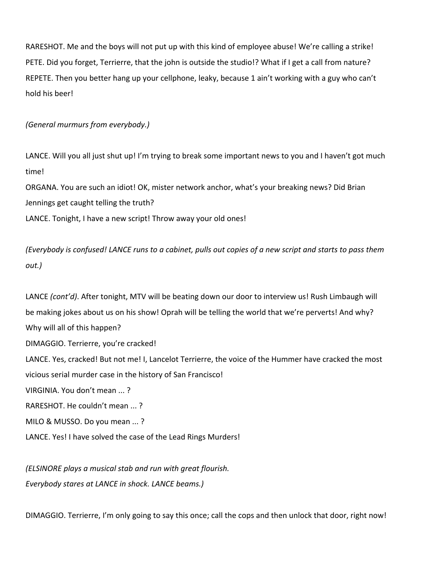RARESHOT. Me and the boys will not put up with this kind of employee abuse! We're calling a strike! PETE. Did you forget, Terrierre, that the john is outside the studio!? What if I get a call from nature? REPETE. Then you better hang up your cellphone, leaky, because 1 ain't working with a guy who can't hold his beer!

# *(General murmurs from everybody.)*

LANCE. Will you all just shut up! I'm trying to break some important news to you and I haven't got much time!

ORGANA. You are such an idiot! OK, mister network anchor, what's your breaking news? Did Brian Jennings get caught telling the truth? LANCE. Tonight, I have a new script! Throw away your old ones!

*(Everybody is confused! LANCE runs to a cabinet, pulls out copies of a new script and starts to pass them out.)*

LANCE *(cont'd)*. After tonight, MTV will be beating down our door to interview us! Rush Limbaugh will be making jokes about us on his show! Oprah will be telling the world that we're perverts! And why? Why will all of this happen? DIMAGGIO. Terrierre, you're cracked! LANCE. Yes, cracked! But not me! I, Lancelot Terrierre, the voice of the Hummer have cracked the most vicious serial murder case in the history of San Francisco! VIRGINIA. You don't mean ... ? RARESHOT. He couldn't mean ... ? MILO & MUSSO. Do you mean ... ? LANCE. Yes! I have solved the case of the Lead Rings Murders!

*(ELSINORE plays a musical stab and run with great flourish. Everybody stares at LANCE in shock. LANCE beams.)*

DIMAGGIO. Terrierre, I'm only going to say this once; call the cops and then unlock that door, right now!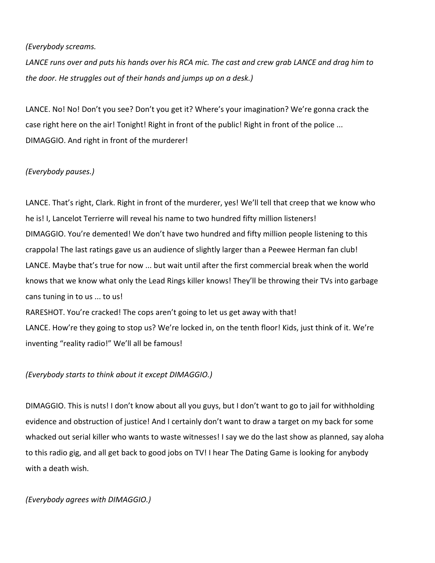## *(Everybody screams.*

*LANCE runs over and puts his hands over his RCA mic. The cast and crew grab LANCE and drag him to the door. He struggles out of their hands and jumps up on a desk.)*

LANCE. No! No! Don't you see? Don't you get it? Where's your imagination? We're gonna crack the case right here on the air! Tonight! Right in front of the public! Right in front of the police ... DIMAGGIO. And right in front of the murderer!

# *(Everybody pauses.)*

LANCE. That's right, Clark. Right in front of the murderer, yes! We'll tell that creep that we know who he is! I, Lancelot Terrierre will reveal his name to two hundred fifty million listeners! DIMAGGIO. You're demented! We don't have two hundred and fifty million people listening to this crappola! The last ratings gave us an audience of slightly larger than a Peewee Herman fan club! LANCE. Maybe that's true for now ... but wait until after the first commercial break when the world knows that we know what only the Lead Rings killer knows! They'll be throwing their TVs into garbage cans tuning in to us ... to us!

RARESHOT. You're cracked! The cops aren't going to let us get away with that! LANCE. How're they going to stop us? We're locked in, on the tenth floor! Kids, just think of it. We're inventing "reality radio!" We'll all be famous!

## *(Everybody starts to think about it except DIMAGGIO.)*

DIMAGGIO. This is nuts! I don't know about all you guys, but I don't want to go to jail for withholding evidence and obstruction of justice! And I certainly don't want to draw a target on my back for some whacked out serial killer who wants to waste witnesses! I say we do the last show as planned, say aloha to this radio gig, and all get back to good jobs on TV! I hear The Dating Game is looking for anybody with a death wish.

*(Everybody agrees with DIMAGGIO.)*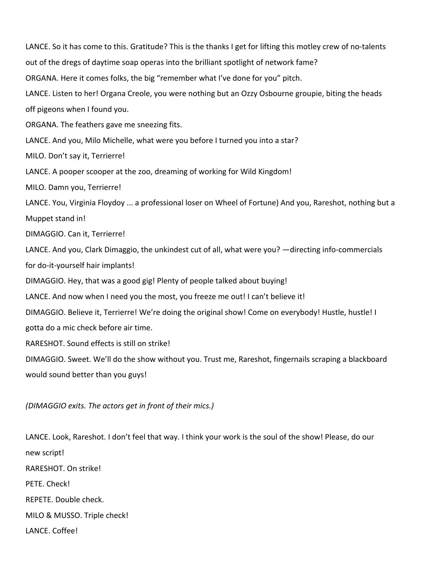LANCE. So it has come to this. Gratitude? This is the thanks I get for lifting this motley crew of no-talents out of the dregs of daytime soap operas into the brilliant spotlight of network fame? ORGANA. Here it comes folks, the big "remember what I've done for you" pitch. LANCE. Listen to her! Organa Creole, you were nothing but an Ozzy Osbourne groupie, biting the heads off pigeons when I found you. ORGANA. The feathers gave me sneezing fits. LANCE. And you, Milo Michelle, what were you before I turned you into a star? MILO. Don't say it, Terrierre! LANCE. A pooper scooper at the zoo, dreaming of working for Wild Kingdom! MILO. Damn you, Terrierre! LANCE. You, Virginia Floydoy ... a professional loser on Wheel of Fortune) And you, Rareshot, nothing but a Muppet stand in! DIMAGGIO. Can it, Terrierre! LANCE. And you, Clark Dimaggio, the unkindest cut of all, what were you? —directing info-commercials for do-it-yourself hair implants! DIMAGGIO. Hey, that was a good gig! Plenty of people talked about buying! LANCE. And now when I need you the most, you freeze me out! I can't believe it! DIMAGGIO. Believe it, Terrierre! We're doing the original show! Come on everybody! Hustle, hustle! I gotta do a mic check before air time. RARESHOT. Sound effects is still on strike! DIMAGGIO. Sweet. We'll do the show without you. Trust me, Rareshot, fingernails scraping a blackboard would sound better than you guys!

#### *(DIMAGGIO exits. The actors get in front of their mics.)*

LANCE. Look, Rareshot. I don't feel that way. I think your work is the soul of the show! Please, do our new script! RARESHOT. On strike! PETE. Check! REPETE. Double check. MILO & MUSSO. Triple check! LANCE. Coffee!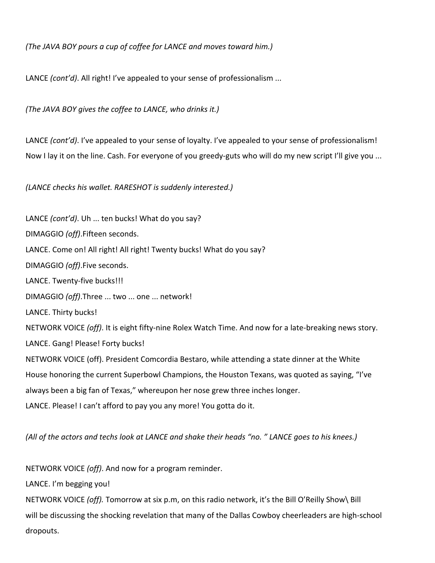*(The JAVA BOY pours a cup of coffee for LANCE and moves toward him.)*

LANCE *(cont'd)*. All right! I've appealed to your sense of professionalism ...

*(The JAVA BOY gives the coffee to LANCE, who drinks it.)*

LANCE *(cont'd)*. I've appealed to your sense of loyalty. I've appealed to your sense of professionalism! Now I lay it on the line. Cash. For everyone of you greedy-guts who will do my new script I'll give you ...

*(LANCE checks his wallet. RARESHOT is suddenly interested.)*

LANCE *(cont'd)*. Uh ... ten bucks! What do you say? DIMAGGIO *(off)*.Fifteen seconds. LANCE. Come on! All right! All right! Twenty bucks! What do you say? DIMAGGIO *(off)*.Five seconds. LANCE. Twenty-five bucks!!! DIMAGGIO *(off)*.Three ... two ... one ... network! LANCE. Thirty bucks! NETWORK VOICE *(off)*. It is eight fifty-nine Rolex Watch Time. And now for a late-breaking news story. LANCE. Gang! Please! Forty bucks! NETWORK VOICE (off). President Comcordia Bestaro, while attending a state dinner at the White House honoring the current Superbowl Champions, the Houston Texans, was quoted as saying, "I've always been a big fan of Texas," whereupon her nose grew three inches longer. LANCE. Please! I can't afford to pay you any more! You gotta do it.

*(All of the actors and techs look at LANCE and shake their heads "no. " LANCE goes to his knees.)*

NETWORK VOICE *(off)*. And now for a program reminder.

LANCE. I'm begging you!

NETWORK VOICE *(off).* Tomorrow at six p.m, on this radio network, it's the Bill O'Reilly Show\ Bill will be discussing the shocking revelation that many of the Dallas Cowboy cheerleaders are high-school dropouts.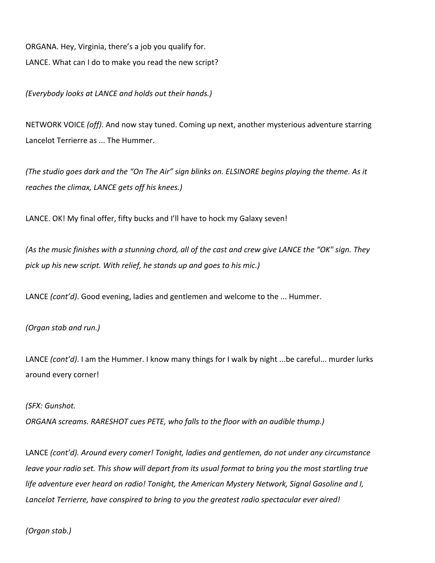ORGANA. Hey, Virginia, there's a job you qualify for. LANCE. What can I do to make you read the new script?

*(Everybody looks at LANCE and holds out their hands.)*

NETWORK VOICE *(off)*. And now stay tuned. Coming up next, another mysterious adventure starring Lancelot Terrierre as ... The Hummer.

*(The studio goes dark and the "On The Air" sign blinks on. ELSINORE begins playing the theme. As it reaches the climax, LANCE gets off his knees.)*

LANCE. OK! My final offer, fifty bucks and I'll have to hock my Galaxy seven!

*(As the music finishes with a stunning chord, all of the cast and crew give LANCE the "OK" sign. They pick up his new script. With relief, he stands up and goes to his mic.)*

LANCE *(cont'd)*. Good evening, ladies and gentlemen and welcome to the ... Hummer.

*(Organ stab and run.)*

LANCE *(cont'd)*. I am the Hummer. I know many things for I walk by night ...be careful... murder lurks around every corner!

#### *(SFX: Gunshot.*

*ORGANA screams. RARESHOT cues PETE, who falls to the floor with an audible thump.)*

LANCE *(cont'd). Around every comer! Tonight, ladies and gentlemen, do not under any circumstance leave your radio set. This show will depart from its usual format to bring you the most startling true life adventure ever heard on radio! Tonight, the American Mystery Network, Signal Gasoline and I, Lancelot Terrierre, have conspired to bring to you the greatest radio spectacular ever aired!*

*(Organ stab.)*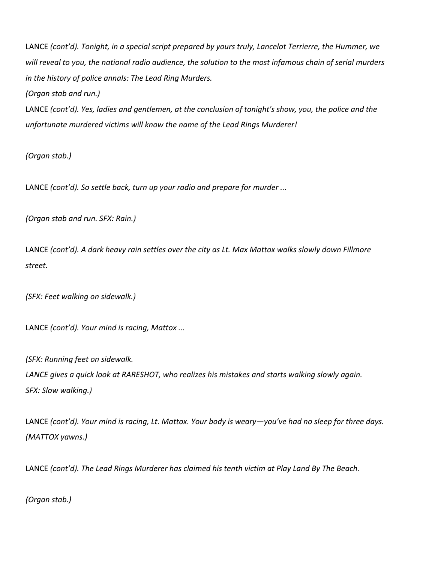LANCE *(cont'd). Tonight, in a special script prepared by yours truly, Lancelot Terrierre, the Hummer, we will reveal to you, the national radio audience, the solution to the most infamous chain of serial murders in the history of police annals: The Lead Ring Murders.*

*(Organ stab and run.)*

LANCE *(cont'd). Yes, ladies and gentlemen, at the conclusion of tonight's show, you, the police and the unfortunate murdered victims will know the name of the Lead Rings Murderer!*

*(Organ stab.)*

LANCE *(cont'd). So settle back, turn up your radio and prepare for murder ...*

*(Organ stab and run. SFX: Rain.)*

LANCE *(cont'd). A dark heavy rain settles over the city as Lt. Max Mattox walks slowly down Fillmore street.*

*(SFX: Feet walking on sidewalk.)*

LANCE *(cont'd). Your mind is racing, Mattox ...*

*(SFX: Running feet on sidewalk. LANCE gives a quick look at RARESHOT, who realizes his mistakes and starts walking slowly again. SFX: Slow walking.)*

LANCE *(cont'd). Your mind is racing, Lt. Mattox. Your body is weary—you've had no sleep for three days. (MATTOX yawns.)*

LANCE *(cont'd). The Lead Rings Murderer has claimed his tenth victim at Play Land By The Beach.*

*(Organ stab.)*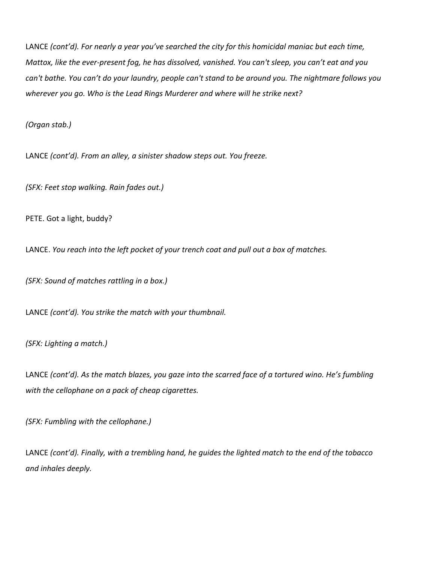LANCE *(cont'd). For nearly a year you've searched the city for this homicidal maniac but each time, Mattox, like the ever-present fog, he has dissolved, vanished. You can't sleep, you can't eat and you can't bathe. You can't do your laundry, people can't stand to be around you. The nightmare follows you wherever you go. Who is the Lead Rings Murderer and where will he strike next?*

*(Organ stab.)*

LANCE *(cont'd). From an alley, a sinister shadow steps out. You freeze.*

*(SFX: Feet stop walking. Rain fades out.)*

PETE. Got a light, buddy?

LANCE. *You reach into the left pocket of your trench coat and pull out a box of matches.*

*(SFX: Sound of matches rattling in a box.)*

LANCE *(cont'd). You strike the match with your thumbnail.*

*(SFX: Lighting a match.)*

LANCE *(cont'd). As the match blazes, you gaze into the scarred face of a tortured wino. He's fumbling with the cellophane on a pack of cheap cigarettes.*

*(SFX: Fumbling with the cellophane.)*

LANCE *(cont'd). Finally, with a trembling hand, he guides the lighted match to the end of the tobacco and inhales deeply.*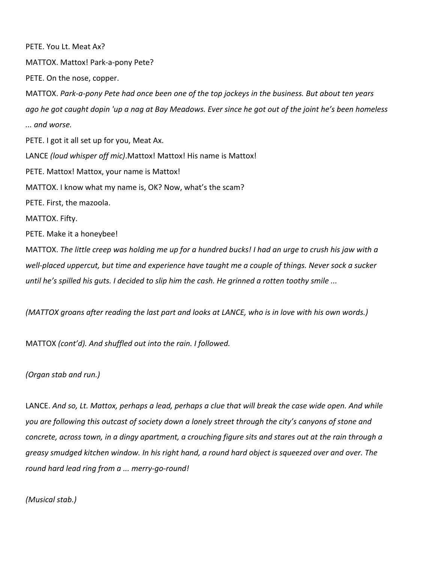PETE. You Lt. Meat Ax? MATTOX. Mattox! Park-a-pony Pete? PETE. On the nose, copper. MATTOX. *Park-a-pony Pete had once been one of the top jockeys in the business. But about ten years ago he got caught dopin 'up a nag at Bay Meadows. Ever since he got out of the joint he's been homeless ... and worse.* PETE. I got it all set up for you, Meat Ax. LANCE *(loud whisper off mic)*.Mattox! Mattox! His name is Mattox! PETE. Mattox! Mattox, your name is Mattox! MATTOX. I know what my name is, OK? Now, what's the scam? PETE. First, the mazoola. MATTOX. Fifty. PETE. Make it a honeybee! MATTOX. *The little creep was holding me up for a hundred bucks! I had an urge to crush his jaw with a well-placed uppercut, but time and experience have taught me a couple of things. Never sock a sucker* 

*(MATTOX groans after reading the last part and looks at LANCE, who is in love with his own words.)*

*until he's spilled his guts. I decided to slip him the cash. He grinned a rotten toothy smile ...*

MATTOX *(cont'd). And shuffled out into the rain. I followed.*

*(Organ stab and run.)*

LANCE. *And so, Lt. Mattox, perhaps a lead, perhaps a clue that will break the case wide open. And while you are following this outcast of society down a lonely street through the city's canyons of stone and concrete, across town, in a dingy apartment, a crouching figure sits and stares out at the rain through a greasy smudged kitchen window. In his right hand, a round hard object is squeezed over and over. The round hard lead ring from a ... merry-go-round!*

*(Musical stab.)*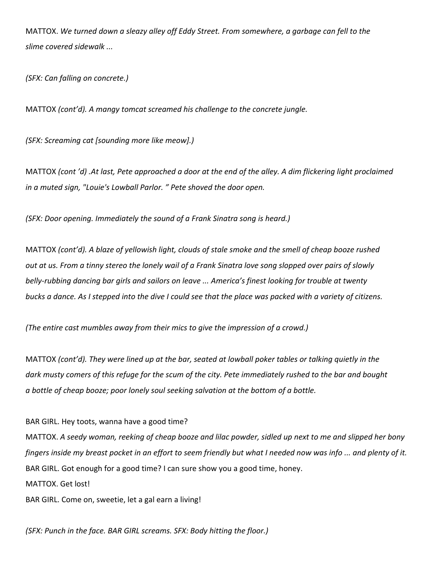MATTOX. *We turned down a sleazy alley off Eddy Street. From somewhere, a garbage can fell to the slime covered sidewalk ...*

*(SFX: Can falling on concrete.)*

MATTOX *(cont'd). A mangy tomcat screamed his challenge to the concrete jungle.*

*(SFX: Screaming cat [sounding more like meow].)*

MATTOX *(cont 'd) .At last, Pete approached a door at the end of the alley. A dim flickering light proclaimed in a muted sign, "Louie's Lowball Parlor. " Pete shoved the door open.*

*(SFX: Door opening. Immediately the sound of a Frank Sinatra song is heard.)*

MATTOX *(cont'd). A blaze of yellowish light, clouds of stale smoke and the smell of cheap booze rushed out at us. From a tinny stereo the lonely wail of a Frank Sinatra love song slopped over pairs of slowly belly-rubbing dancing bar girls and sailors on leave ... America's finest looking for trouble at twenty bucks a dance. As I stepped into the dive I could see that the place was packed with a variety of citizens.* 

*(The entire cast mumbles away from their mics to give the impression of a crowd.)*

MATTOX *(cont'd). They were lined up at the bar, seated at lowball poker tables or talking quietly in the dark musty comers of this refuge for the scum of the city. Pete immediately rushed to the bar and bought a bottle of cheap booze; poor lonely soul seeking salvation at the bottom of a bottle.*

BAR GIRL. Hey toots, wanna have a good time? MATTOX. *A seedy woman, reeking of cheap booze and lilac powder, sidled up next to me and slipped her bony fingers inside my breast pocket in an effort to seem friendly but what I needed now was info ... and plenty of it.* BAR GIRL. Got enough for a good time? I can sure show you a good time, honey. MATTOX. Get lost! BAR GIRL. Come on, sweetie, let a gal earn a living!

*(SFX: Punch in the face. BAR GIRL screams. SFX: Body hitting the floor.)*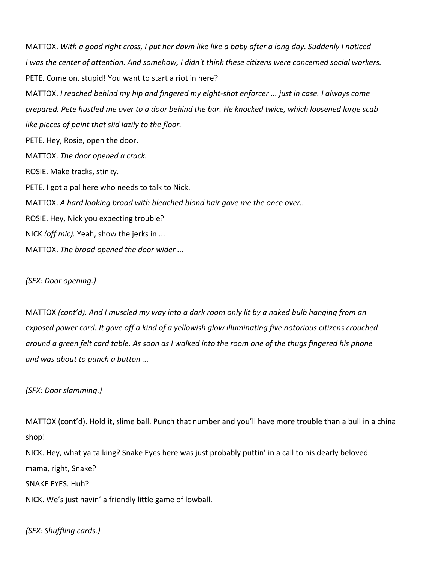MATTOX. *With a good right cross, I put her down like like a baby after a long day. Suddenly I noticed I was the center of attention. And somehow, I didn't think these citizens were concerned social workers.*  PETE. Come on, stupid! You want to start a riot in here? MATTOX. *I reached behind my hip and fingered my eight-shot enforcer ... just in case. I always come prepared. Pete hustled me over to a door behind the bar. He knocked twice, which loosened large scab like pieces of paint that slid lazily to the floor.* PETE. Hey, Rosie, open the door. MATTOX. *The door opened a crack.* ROSIE. Make tracks, stinky. PETE. I got a pal here who needs to talk to Nick. MATTOX. *A hard looking broad with bleached blond hair gave me the once over..* ROSIE. Hey, Nick you expecting trouble? NICK *(off mic).* Yeah, show the jerks in ... MATTOX. *The broad opened the door wider ...*

*(SFX: Door opening.)*

MATTOX *(cont'd). And I muscled my way into a dark room only lit by a naked bulb hanging from an exposed power cord. It gave off a kind of a yellowish glow illuminating five notorious citizens crouched around a green felt card table. As soon as I walked into the room one of the thugs fingered his phone and was about to punch a button ...*

*(SFX: Door slamming.)*

MATTOX (cont'd). Hold it, slime ball. Punch that number and you'll have more trouble than a bull in a china shop! NICK. Hey, what ya talking? Snake Eyes here was just probably puttin' in a call to his dearly beloved mama, right, Snake? SNAKE EYES. Huh?

NICK. We's just havin' a friendly little game of lowball.

*(SFX: Shuffling cards.)*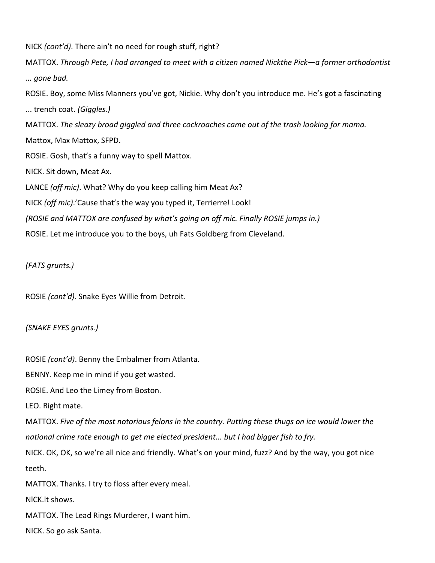NICK *(cont'd)*. There ain't no need for rough stuff, right?

MATTOX. *Through Pete, I had arranged to meet with a citizen named Nickthe Pick—a former orthodontist ... gone bad.*

ROSIE. Boy, some Miss Manners you've got, Nickie. Why don't you introduce me. He's got a fascinating

... trench coat. *(Giggles.)*

MATTOX. *The sleazy broad giggled and three cockroaches came out of the trash looking for mama.* 

Mattox, Max Mattox, SFPD.

ROSIE. Gosh, that's a funny way to spell Mattox.

NICK. Sit down, Meat Ax.

LANCE *(off mic)*. What? Why do you keep calling him Meat Ax?

NICK *(off mic)*.'Cause that's the way you typed it, Terrierre! Look!

*(ROSIE and MATTOX are confused by what's going on off mic. Finally ROSIE jumps in.)*

ROSIE. Let me introduce you to the boys, uh Fats Goldberg from Cleveland.

*(FATS grunts.)*

ROSIE *(cont'd)*. Snake Eyes Willie from Detroit.

*(SNAKE EYES grunts.)*

ROSIE *(cont'd)*. Benny the Embalmer from Atlanta.

BENNY. Keep me in mind if you get wasted.

ROSIE. And Leo the Limey from Boston.

LEO. Right mate.

MATTOX. *Five of the most notorious felons in the country. Putting these thugs on ice would lower the national crime rate enough to get me elected president... but I had bigger fish to fry.*

NICK. OK, OK, so we're all nice and friendly. What's on your mind, fuzz? And by the way, you got nice teeth.

MATTOX. Thanks. I try to floss after every meal.

NlCK.lt shows.

MATTOX. The Lead Rings Murderer, I want him.

NICK. So go ask Santa.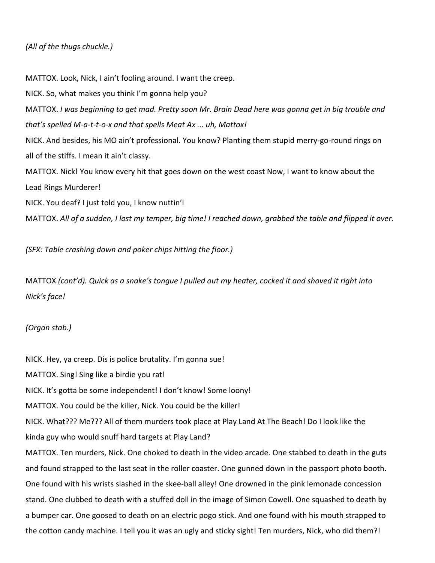# *(All of the thugs chuckle.)*

MATTOX. Look, Nick, I ain't fooling around. I want the creep. NICK. So, what makes you think I'm gonna help you? MATTOX. *I was beginning to get mad. Pretty soon Mr. Brain Dead here was gonna get in big trouble and that's spelled M-a-t-t-o-x and that spells Meat Ax ... uh, Mattox!* NICK. And besides, his MO ain't professional. You know? Planting them stupid merry-go-round rings on all of the stiffs. I mean it ain't classy. MATTOX. Nick! You know every hit that goes down on the west coast Now, I want to know about the Lead Rings Murderer! NICK. You deaf? I just told you, I know nuttin'l MATTOX. *All of a sudden, I lost my temper, big time! I reached down, grabbed the table and flipped it over.* 

*(SFX: Table crashing down and poker chips hitting the floor.)*

MATTOX *(cont'd). Quick as a snake's tongue I pulled out my heater, cocked it and shoved it right into Nick's face!*

*(Organ stab.)*

NICK. Hey, ya creep. Dis is police brutality. I'm gonna sue!

MATTOX. Sing! Sing like a birdie you rat!

NICK. It's gotta be some independent! I don't know! Some loony!

MATTOX. You could be the killer, Nick. You could be the killer!

NICK. What??? Me??? All of them murders took place at Play Land At The Beach! Do I look like the

kinda guy who would snuff hard targets at Play Land?

MATTOX. Ten murders, Nick. One choked to death in the video arcade. One stabbed to death in the guts and found strapped to the last seat in the roller coaster. One gunned down in the passport photo booth. One found with his wrists slashed in the skee-ball alley! One drowned in the pink lemonade concession stand. One clubbed to death with a stuffed doll in the image of Simon Cowell. One squashed to death by a bumper car. One goosed to death on an electric pogo stick. And one found with his mouth strapped to the cotton candy machine. I tell you it was an ugly and sticky sight! Ten murders, Nick, who did them?!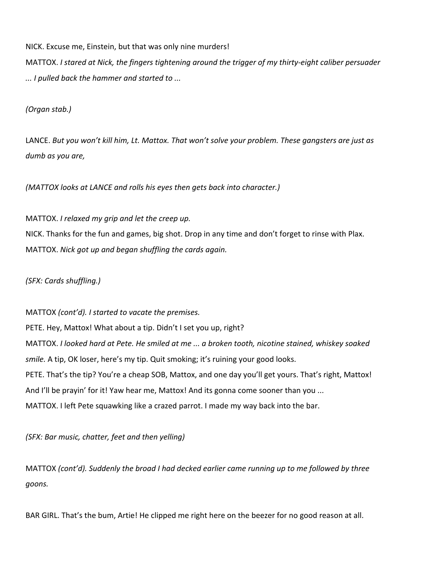NICK. Excuse me, Einstein, but that was only nine murders!

MATTOX. *I stared at Nick, the fingers tightening around the trigger of my thirty-eight caliber persuader ... I pulled back the hammer and started to ...*

*(Organ stab.)*

LANCE. *But you won't kill him, Lt. Mattox. That won't solve your problem. These gangsters are just as dumb as you are,*

*(MATTOX looks at LANCE and rolls his eyes then gets back into character.)*

MATTOX. *I relaxed my grip and let the creep up.* NICK. Thanks for the fun and games, big shot. Drop in any time and don't forget to rinse with Plax. MATTOX. *Nick got up and began shuffling the cards again.*

*(SFX: Cards shuffling.)*

MATTOX *(cont'd). I started to vacate the premises.* PETE. Hey, Mattox! What about a tip. Didn't I set you up, right? MATTOX. *I looked hard at Pete. He smiled at me ... a broken tooth, nicotine stained, whiskey soaked smile.* A tip, OK loser, here's my tip. Quit smoking; it's ruining your good looks. PETE. That's the tip? You're a cheap SOB, Mattox, and one day you'll get yours. That's right, Mattox! And I'll be prayin' for it! Yaw hear me, Mattox! And its gonna come sooner than you ... MATTOX. I left Pete squawking like a crazed parrot. I made my way back into the bar.

*(SFX: Bar music, chatter, feet and then yelling)*

MATTOX *(cont'd). Suddenly the broad I had decked earlier came running up to me followed by three goons.*

BAR GIRL. That's the bum, Artie! He clipped me right here on the beezer for no good reason at all.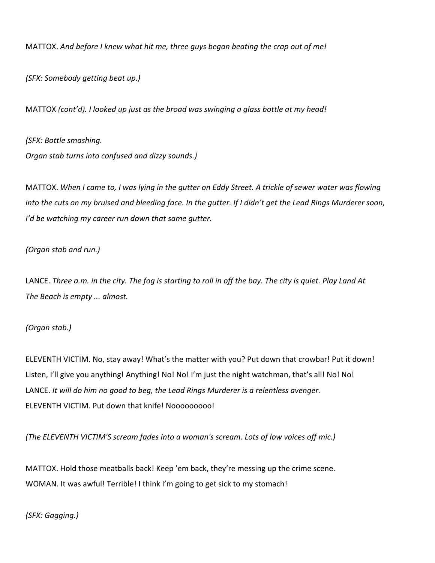MATTOX. *And before I knew what hit me, three guys began beating the crap out of me!*

*(SFX: Somebody getting beat up.)*

MATTOX *(cont'd). I looked up just as the broad was swinging a glass bottle at my head!*

*(SFX: Bottle smashing. Organ stab turns into confused and dizzy sounds.)*

MATTOX. *When I came to, I was lying in the gutter on Eddy Street. A trickle of sewer water was flowing into the cuts on my bruised and bleeding face. In the gutter. If I didn't get the Lead Rings Murderer soon, I'd be watching my career run down that same gutter.*

## *(Organ stab and run.)*

LANCE. *Three a.m. in the city. The fog is starting to roll in off the bay. The city is quiet. Play Land At The Beach is empty ... almost.*

## *(Organ stab.)*

ELEVENTH VICTIM. No, stay away! What's the matter with you? Put down that crowbar! Put it down! Listen, I'll give you anything! Anything! No! No! I'm just the night watchman, that's all! No! No! LANCE. *It will do him no good to beg, the Lead Rings Murderer is a relentless avenger.* ELEVENTH VICTIM. Put down that knife! Nooooooooo!

*(The ELEVENTH VICTIM'S scream fades into a woman's scream. Lots of low voices off mic.)*

MATTOX. Hold those meatballs back! Keep 'em back, they're messing up the crime scene. WOMAN. It was awful! Terrible! I think I'm going to get sick to my stomach!

*(SFX: Gagging.)*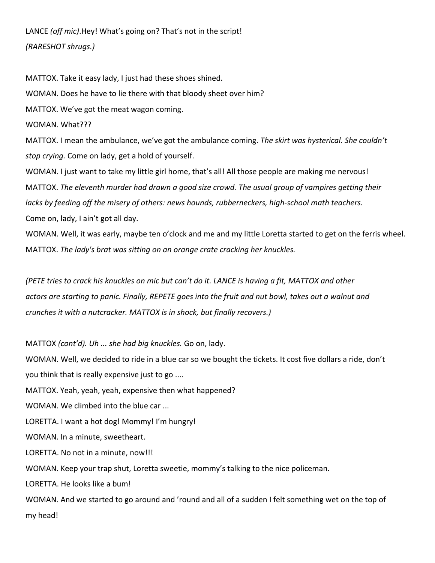LANCE *(off mic)*.Hey! What's going on? That's not in the script! *(RARESHOT shrugs.)*

MATTOX. Take it easy lady, I just had these shoes shined. WOMAN. Does he have to lie there with that bloody sheet over him? MATTOX. We've got the meat wagon coming. WOMAN. What??? MATTOX. I mean the ambulance, we've got the ambulance coming. *The skirt was hysterical. She couldn't stop crying.* Come on lady, get a hold of yourself. WOMAN. I just want to take my little girl home, that's all! All those people are making me nervous! MATTOX. *The eleventh murder had drawn a good size crowd. The usual group of vampires getting their lacks by feeding off the misery of others: news hounds, rubberneckers, high-school math teachers.*  Come on, lady, I ain't got all day. WOMAN. Well, it was early, maybe ten o'clock and me and my little Loretta started to get on the ferris wheel. MATTOX. *The lady's brat was sitting on an orange crate cracking her knuckles.*

*(PETE tries to crack his knuckles on mic but can't do it. LANCE is having a fit, MATTOX and other actors are starting to panic. Finally, REPETE goes into the fruit and nut bowl, takes out a walnut and crunches it with a nutcracker. MATTOX is in shock, but finally recovers.)*

MATTOX *(cont'd). Uh ... she had big knuckles.* Go on, lady.

WOMAN. Well, we decided to ride in a blue car so we bought the tickets. It cost five dollars a ride, don't you think that is really expensive just to go ....

MATTOX. Yeah, yeah, yeah, expensive then what happened?

WOMAN. We climbed into the blue car ...

LORETTA. I want a hot dog! Mommy! I'm hungry!

WOMAN. In a minute, sweetheart.

LORETTA. No not in a minute, now!!!

WOMAN. Keep your trap shut, Loretta sweetie, mommy's talking to the nice policeman.

LORETTA. He looks like a bum!

WOMAN. And we started to go around and 'round and all of a sudden I felt something wet on the top of my head!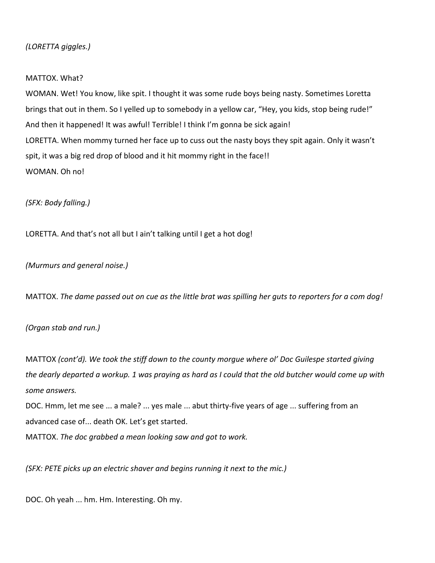# *(LORETTA giggles.)*

#### MATTOX. What?

WOMAN. Wet! You know, like spit. I thought it was some rude boys being nasty. Sometimes Loretta brings that out in them. So I yelled up to somebody in a yellow car, "Hey, you kids, stop being rude!" And then it happened! It was awful! Terrible! I think I'm gonna be sick again! LORETTA. When mommy turned her face up to cuss out the nasty boys they spit again. Only it wasn't spit, it was a big red drop of blood and it hit mommy right in the face!! WOMAN. Oh no!

*(SFX: Body falling.)*

LORETTA. And that's not all but I ain't talking until I get a hot dog!

*(Murmurs and general noise.)*

MATTOX. *The dame passed out on cue as the little brat was spilling her guts to reporters for a com dog!* 

*(Organ stab and run.)*

MATTOX *(cont'd). We took the stiff down to the county morgue where ol' Doc Guilespe started giving the dearly departed a workup. 1 was praying as hard as I could that the old butcher would come up with some answers.*

DOC. Hmm, let me see ... a male? ... yes male ... abut thirty-five years of age ... suffering from an advanced case of... death OK. Let's get started.

MATTOX. *The doc grabbed a mean looking saw and got to work.*

*(SFX: PETE picks up an electric shaver and begins running it next to the mic.)*

DOC. Oh yeah ... hm. Hm. Interesting. Oh my.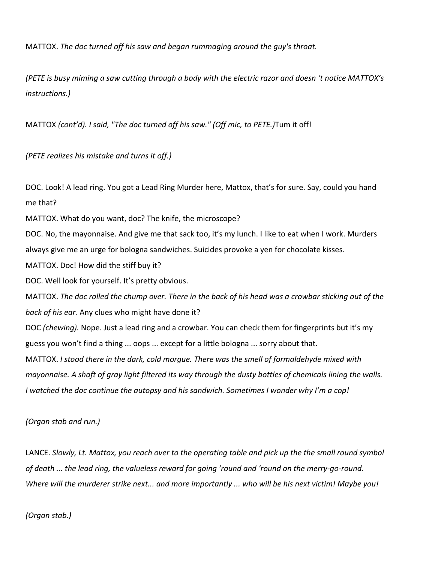MATTOX. *The doc turned off his saw and began rummaging around the guy's throat.*

*(PETE is busy miming a saw cutting through a body with the electric razor and doesn 't notice MATTOX's instructions.)*

MATTOX *(cont'd). I said, "The doc turned off his saw." (Off mic, to PETE.)*Tum it off!

*(PETE realizes his mistake and turns it off.)*

DOC. Look! A lead ring. You got a Lead Ring Murder here, Mattox, that's for sure. Say, could you hand me that?

MATTOX. What do you want, doc? The knife, the microscope?

DOC. No, the mayonnaise. And give me that sack too, it's my lunch. I like to eat when I work. Murders always give me an urge for bologna sandwiches. Suicides provoke a yen for chocolate kisses.

MATTOX. Doc! How did the stiff buy it?

DOC. Well look for yourself. It's pretty obvious.

MATTOX. *The doc rolled the chump over. There in the back of his head was a crowbar sticking out of the back of his ear.* Any clues who might have done it?

DOC *(chewing).* Nope. Just a lead ring and a crowbar. You can check them for fingerprints but it's my guess you won't find a thing ... oops ... except for a little bologna ... sorry about that.

MATTOX. *I stood there in the dark, cold morgue. There was the smell of formaldehyde mixed with mayonnaise. A shaft of gray light filtered its way through the dusty bottles of chemicals lining the walls. I watched the doc continue the autopsy and his sandwich. Sometimes I wonder why I'm a cop!*

*(Organ stab and run.)*

LANCE. *Slowly, Lt. Mattox, you reach over to the operating table and pick up the the small round symbol of death ... the lead ring, the valueless reward for going 'round and 'round on the merry-go-round. Where will the murderer strike next... and more importantly ... who will be his next victim! Maybe you!* 

*(Organ stab.)*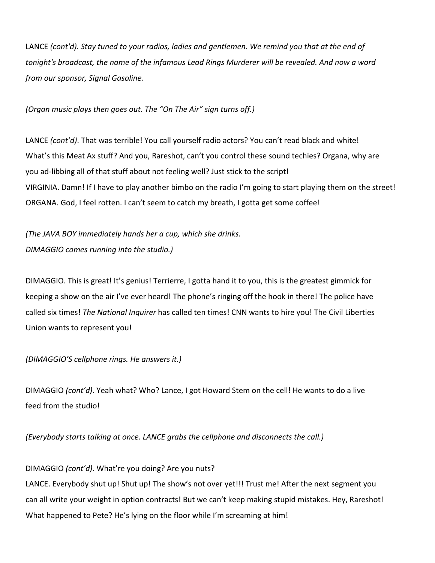LANCE *(cont'd). Stay tuned to your radios, ladies and gentlemen. We remind you that at the end of tonight's broadcast, the name of the infamous Lead Rings Murderer will be revealed. And now a word from our sponsor, Signal Gasoline.*

#### *(Organ music plays then goes out. The "On The Air" sign turns off.)*

LANCE *(cont'd)*. That was terrible! You call yourself radio actors? You can't read black and white! What's this Meat Ax stuff? And you, Rareshot, can't you control these sound techies? Organa, why are you ad-libbing all of that stuff about not feeling well? Just stick to the script! VIRGINIA. Damn! If I have to play another bimbo on the radio I'm going to start playing them on the street! ORGANA. God, I feel rotten. I can't seem to catch my breath, I gotta get some coffee!

*(The JAVA BOY immediately hands her a cup, which she drinks. DIMAGGIO comes running into the studio.)*

DIMAGGIO. This is great! It's genius! Terrierre, I gotta hand it to you, this is the greatest gimmick for keeping a show on the air I've ever heard! The phone's ringing off the hook in there! The police have called six times! *The National Inquirer* has called ten times! CNN wants to hire you! The Civil Liberties Union wants to represent you!

#### *(DIMAGGIO'S cellphone rings. He answers it.)*

DIMAGGIO *(cont'd)*. Yeah what? Who? Lance, I got Howard Stem on the cell! He wants to do a live feed from the studio!

*(Everybody starts talking at once. LANCE grabs the cellphone and disconnects the call.)*

DIMAGGIO *(cont'd)*. What're you doing? Are you nuts?

LANCE. Everybody shut up! Shut up! The show's not over yet!!! Trust me! After the next segment you can all write your weight in option contracts! But we can't keep making stupid mistakes. Hey, Rareshot! What happened to Pete? He's lying on the floor while I'm screaming at him!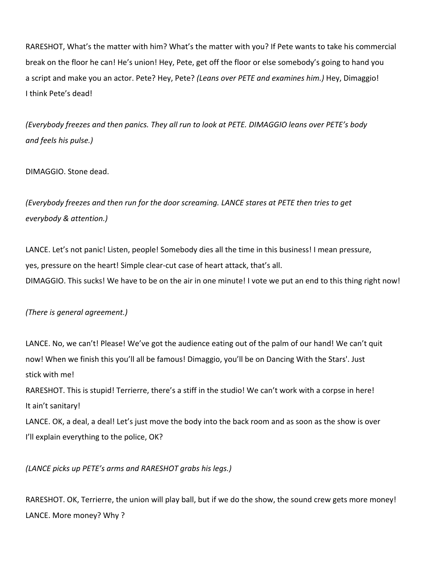RARESHOT, What's the matter with him? What's the matter with you? If Pete wants to take his commercial break on the floor he can! He's union! Hey, Pete, get off the floor or else somebody's going to hand you a script and make you an actor. Pete? Hey, Pete? *(Leans over PETE and examines him.)* Hey, Dimaggio! I think Pete's dead!

*(Everybody freezes and then panics. They all run to look at PETE. DIMAGGIO leans over PETE's body and feels his pulse.)*

## DIMAGGIO. Stone dead.

*(Everybody freezes and then run for the door screaming. LANCE stares at PETE then tries to get everybody & attention.)*

LANCE. Let's not panic! Listen, people! Somebody dies all the time in this business! I mean pressure, yes, pressure on the heart! Simple clear-cut case of heart attack, that's all. DIMAGGIO. This sucks! We have to be on the air in one minute! I vote we put an end to this thing right now!

# *(There is general agreement.)*

LANCE. No, we can't! Please! We've got the audience eating out of the palm of our hand! We can't quit now! When we finish this you'll all be famous! Dimaggio, you'll be on Dancing With the Stars'. Just stick with me! RARESHOT. This is stupid! Terrierre, there's a stiff in the studio! We can't work with a corpse in here!

It ain't sanitary!

LANCE. OK, a deal, a deal! Let's just move the body into the back room and as soon as the show is over I'll explain everything to the police, OK?

*(LANCE picks up PETE's arms and RARESHOT grabs his legs.)*

RARESHOT. OK, Terrierre, the union will play ball, but if we do the show, the sound crew gets more money! LANCE. More money? Why ?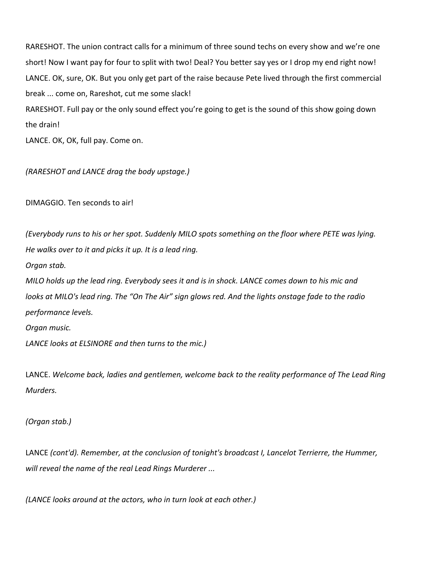RARESHOT. The union contract calls for a minimum of three sound techs on every show and we're one short! Now I want pay for four to split with two! Deal? You better say yes or I drop my end right now! LANCE. OK, sure, OK. But you only get part of the raise because Pete lived through the first commercial break ... come on, Rareshot, cut me some slack!

RARESHOT. Full pay or the only sound effect you're going to get is the sound of this show going down the drain!

LANCE. OK, OK, full pay. Come on.

*(RARESHOT and LANCE drag the body upstage.)*

DIMAGGIO. Ten seconds to air!

*(Everybody runs to his or her spot. Suddenly MILO spots something on the floor where PETE was lying. He walks over to it and picks it up. It is a lead ring. Organ stab. MILO holds up the lead ring. Everybody sees it and is in shock. LANCE comes down to his mic and looks at MILO's lead ring. The "On The Air" sign glows red. And the lights onstage fade to the radio performance levels. Organ music.*

*LANCE looks at ELSINORE and then turns to the mic.)*

LANCE. *Welcome back, ladies and gentlemen, welcome back to the reality performance of The Lead Ring Murders.*

*(Organ stab.)*

LANCE *(cont'd). Remember, at the conclusion of tonight's broadcast I, Lancelot Terrierre, the Hummer, will reveal the name of the real Lead Rings Murderer ...*

*(LANCE looks around at the actors, who in turn look at each other.)*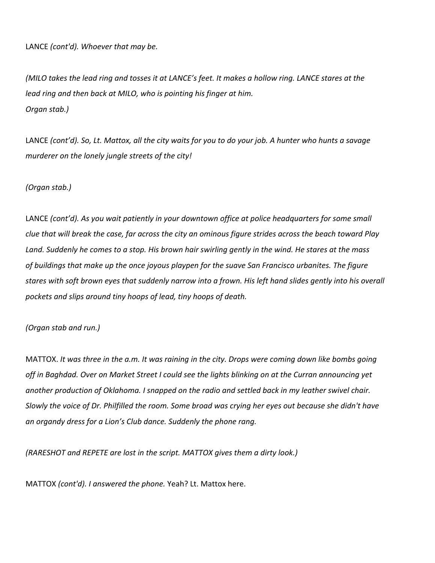LANCE *(cont'd). Whoever that may be.*

*(MILO takes the lead ring and tosses it at LANCE's feet. It makes a hollow ring. LANCE stares at the lead ring and then back at MILO, who is pointing his finger at him. Organ stab.)*

LANCE *(cont'd). So, Lt. Mattox, all the city waits for you to do your job. A hunter who hunts a savage murderer on the lonely jungle streets of the city!*

*(Organ stab.)*

LANCE *(cont'd). As you wait patiently in your downtown office at police headquarters for some small clue that will break the case, far across the city an ominous figure strides across the beach toward Play Land. Suddenly he comes to a stop. His brown hair swirling gently in the wind. He stares at the mass of buildings that make up the once joyous playpen for the suave San Francisco urbanites. The figure stares with soft brown eyes that suddenly narrow into a frown. His left hand slides gently into his overall pockets and slips around tiny hoops of lead, tiny hoops of death.*

*(Organ stab and run.)*

MATTOX. *It was three in the a.m. It was raining in the city. Drops were coming down like bombs going off in Baghdad. Over on Market Street I could see the lights blinking on at the Curran announcing yet another production of Oklahoma. I snapped on the radio and settled back in my leather swivel chair. Slowly the voice of Dr. Philfilled the room. Some broad was crying her eyes out because she didn't have an organdy dress for a Lion's Club dance. Suddenly the phone rang.*

*(RARESHOT and REPETE are lost in the script. MATTOX gives them a dirty look.)*

MATTOX *(cont'd). I answered the phone.* Yeah? Lt. Mattox here.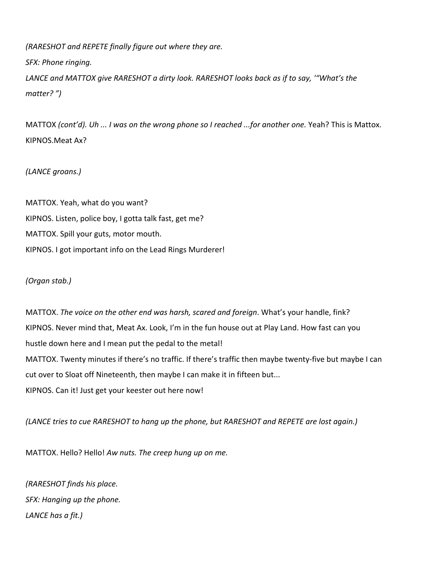*(RARESHOT and REPETE finally figure out where they are. SFX: Phone ringing. LANCE and MATTOX give RARESHOT a dirty look. RARESHOT looks back as if to say, '"What's the matter? ")*

MATTOX *(cont'd). Uh ... I was on the wrong phone so I reached ...for another one.* Yeah? This is Mattox. KIPNOS.Meat Ax?

*(LANCE groans.)*

MATTOX. Yeah, what do you want? KIPNOS. Listen, police boy, I gotta talk fast, get me? MATTOX. Spill your guts, motor mouth. KIPNOS. I got important info on the Lead Rings Murderer!

*(Organ stab.)*

MATTOX. *The voice on the other end was harsh, scared and foreign*. What's your handle, fink? KIPNOS. Never mind that, Meat Ax. Look, I'm in the fun house out at Play Land. How fast can you hustle down here and I mean put the pedal to the metal! MATTOX. Twenty minutes if there's no traffic. If there's traffic then maybe twenty-five but maybe I can cut over to Sloat off Nineteenth, then maybe I can make it in fifteen but... KIPNOS. Can it! Just get your keester out here now!

*(LANCE tries to cue RARESHOT to hang up the phone, but RARESHOT and REPETE are lost again.)*

MATTOX. Hello? Hello! *Aw nuts. The creep hung up on me.*

*(RARESHOT finds his place. SFX: Hanging up the phone. LANCE has a fit.)*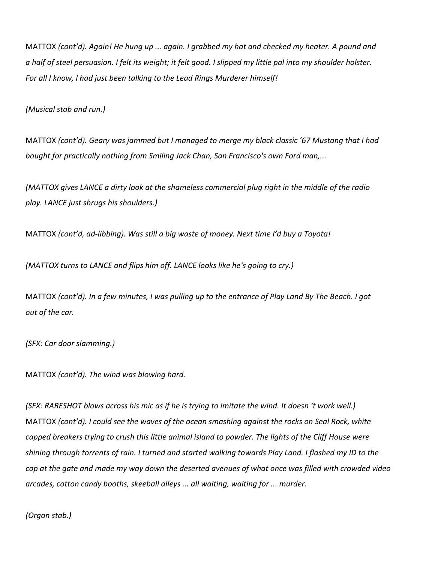MATTOX *(cont'd). Again! He hung up ... again. I grabbed my hat and checked my heater. A pound and a half of steel persuasion. I felt its weight; it felt good. I slipped my little pal into my shoulder holster. For all I know, l had just been talking to the Lead Rings Murderer himself!*

*(Musical stab and run.)*

MATTOX *(cont'd). Geary was jammed but I managed to merge my black classic '67 Mustang that I had bought for practically nothing from Smiling Jack Chan, San Francisco's own Ford man,...*

*(MATTOX gives LANCE a dirty look at the shameless commercial plug right in the middle of the radio play. LANCE just shrugs his shoulders.)*

MATTOX *(cont'd, ad-libbing). Was still a big waste of money. Next time I'd buy a Toyota!*

*(MATTOX turns to LANCE and flips him off. LANCE looks like he's going to cry.)*

MATTOX *(cont'd). In a few minutes, I was pulling up to the entrance of Play Land By The Beach. I got out of the car.*

*(SFX: Car door slamming.)*

MATTOX *(cont'd). The wind was blowing hard.*

*(SFX: RARESHOT blows across his mic as if he is trying to imitate the wind. It doesn 't work well.)* MATTOX *(cont'd). I could see the waves of the ocean smashing against the rocks on Seal Rock, white capped breakers trying to crush this little animal island to powder. The lights of the Cliff House were shining through torrents of rain. I turned and started walking towards Play Land. I flashed my ID to the cop at the gate and made my way down the deserted avenues of what once was filled with crowded video arcades, cotton candy booths, skeeball alleys ... all waiting, waiting for ... murder.*

*(Organ stab.)*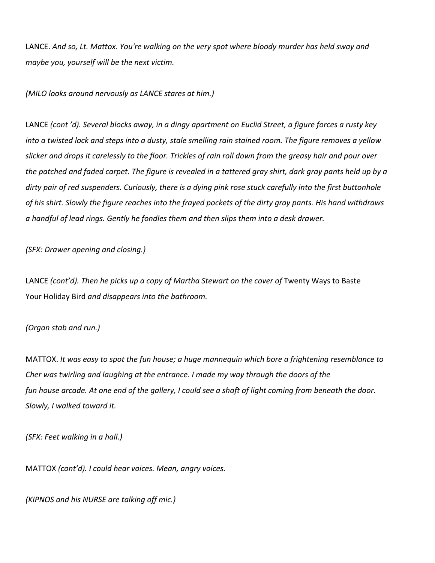LANCE. *And so, Lt. Mattox. You're walking on the very spot where bloody murder has held sway and maybe you, yourself will be the next victim.*

*(MILO looks around nervously as LANCE stares at him.)*

LANCE *(cont 'd). Several blocks away, in a dingy apartment on Euclid Street, a figure forces a rusty key into a twisted lock and steps into a dusty, stale smelling rain stained room. The figure removes a yellow slicker and drops it carelessly to the floor. Trickles of rain roll down from the greasy hair and pour over the patched and faded carpet. The figure is revealed in a tattered gray shirt, dark gray pants held up by a dirty pair of red suspenders. Curiously, there is a dying pink rose stuck carefully into the first buttonhole of his shirt. Slowly the figure reaches into the frayed pockets of the dirty gray pants. His hand withdraws a handful of lead rings. Gently he fondles them and then slips them into a desk drawer.*

*(SFX: Drawer opening and closing.)*

LANCE *(cont'd). Then he picks up a copy of Martha Stewart on the cover of* Twenty Ways to Baste Your Holiday Bird *and disappears into the bathroom.*

#### *(Organ stab and run.)*

MATTOX. *It was easy to spot the fun house; a huge mannequin which bore a frightening resemblance to Cher was twirling and laughing at the entrance. I made my way through the doors of the fun house arcade. At one end of the gallery, I could see a shaft of light coming from beneath the door. Slowly, I walked toward it.*

*(SFX: Feet walking in a hall.)*

MATTOX *(cont'd). I could hear voices. Mean, angry voices.*

*(KIPNOS and his NURSE are talking off mic.)*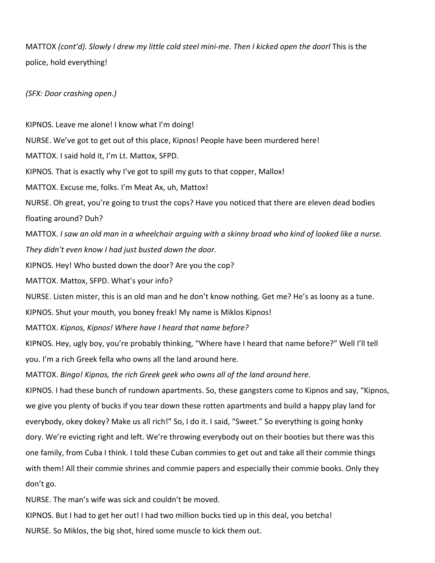MATTOX (cont'd). Slowly I drew my little cold steel mini-me. Then I kicked open the doorl This is the police, hold everything!

*(SFX: Door crashing open.)*

KIPNOS. Leave me alone! I know what I'm doing! NURSE. We've got to get out of this place, Kipnos! People have been murdered here! MATTOX. I said hold it, I'm Lt. Mattox, SFPD. KIPNOS. That is exactly why I've got to spill my guts to that copper, Mallox! MATTOX. Excuse me, folks. I'm Meat Ax, uh, Mattox! NURSE. Oh great, you're going to trust the cops? Have you noticed that there are eleven dead bodies floating around? Duh? MATTOX. *I saw an old man in a wheelchair arguing with a skinny broad who kind of looked like a nurse. They didn't even know I had just busted down the door.* KIPNOS. Hey! Who busted down the door? Are you the cop? MATTOX. Mattox, SFPD. What's your info? NURSE. Listen mister, this is an old man and he don't know nothing. Get me? He's as loony as a tune. KIPNOS. Shut your mouth, you boney freak! My name is Miklos Kipnos! MATTOX. *Kipnos, Kipnos! Where have I heard that name before?* KIPNOS. Hey, ugly boy, you're probably thinking, "Where have I heard that name before?" Well I'll tell you. I'm a rich Greek fella who owns all the land around here. MATTOX. *Bingo! Kipnos, the rich Greek geek who owns all of the land around here.* KIPNOS. I had these bunch of rundown apartments. So, these gangsters come to Kipnos and say, "Kipnos, we give you plenty of bucks if you tear down these rotten apartments and build a happy play land for everybody, okey dokey? Make us all rich!" So, I do it. I said, "Sweet." So everything is going honky dory. We're evicting right and left. We're throwing everybody out on their booties but there was this one family, from Cuba I think. I told these Cuban commies to get out and take all their commie things with them! All their commie shrines and commie papers and especially their commie books. Only they don't go.

NURSE. The man's wife was sick and couldn't be moved.

KIPNOS. But I had to get her out! I had two million bucks tied up in this deal, you betcha! NURSE. So Miklos, the big shot, hired some muscle to kick them out.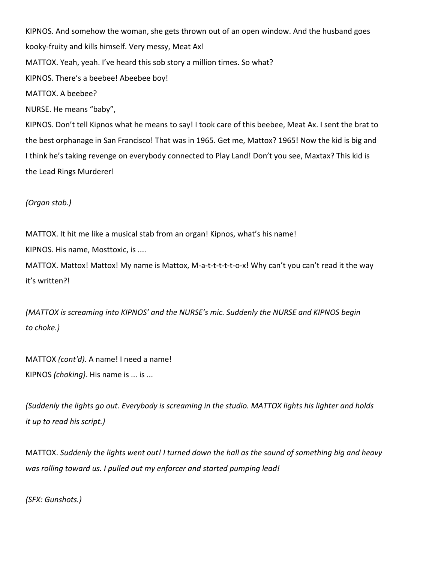KIPNOS. And somehow the woman, she gets thrown out of an open window. And the husband goes kooky-fruity and kills himself. Very messy, Meat Ax! MATTOX. Yeah, yeah. I've heard this sob story a million times. So what? KIPNOS. There's a beebee! Abeebee boy! MATTOX. A beebee? NURSE. He means "baby", KIPNOS. Don't tell Kipnos what he means to say! I took care of this beebee, Meat Ax. I sent the brat to the best orphanage in San Francisco! That was in 1965. Get me, Mattox? 1965! Now the kid is big and I think he's taking revenge on everybody connected to Play Land! Don't you see, Maxtax? This kid is the Lead Rings Murderer!

*(Organ stab.)*

MATTOX. It hit me like a musical stab from an organ! Kipnos, what's his name!

KIPNOS. His name, Mosttoxic, is ....

MATTOX. Mattox! Mattox! My name is Mattox, M-a-t-t-t-t-t-o-x! Why can't you can't read it the way it's written?!

*(MATTOX is screaming into KIPNOS' and the NURSE's mic. Suddenly the NURSE and KIPNOS begin to choke.)*

MATTOX *(cont'd).* A name! I need a name! KIPNOS *(choking)*. His name is ... is ...

*(Suddenly the lights go out. Everybody is screaming in the studio. MATTOX lights his lighter and holds it up to read his script.)*

MATTOX. *Suddenly the lights went out! I turned down the hall as the sound of something big and heavy was rolling toward us. I pulled out my enforcer and started pumping lead!*

*(SFX: Gunshots.)*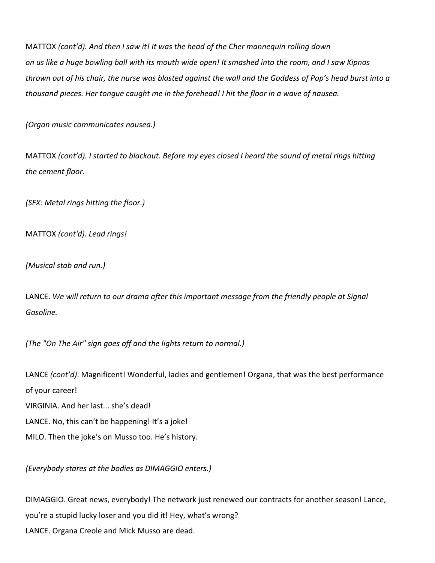MATTOX *(cont'd). And then I saw it! It was the head of the Cher mannequin rolling down on us like a huge bowling ball with its mouth wide open! It smashed into the room, and I saw Kipnos thrown out of his chair, the nurse was blasted against the wall and the Goddess of Pop's head burst into a thousand pieces. Her tongue caught me in the forehead! I hit the floor in a wave of nausea.*

*(Organ music communicates nausea.)*

MATTOX *(cont'd). I started to blackout. Before my eyes closed I heard the sound of metal rings hitting the cement floor.*

*(SFX: Metal rings hitting the floor.)*

MATTOX *(cont'd). Lead rings!*

*(Musical stab and run.)*

LANCE. *We will return to our drama after this important message from the friendly people at Signal Gasoline.*

*(The "On The Air" sign goes off and the lights return to normal.)*

LANCE (cont'd). Magnificent! Wonderful, ladies and gentlemen! Organa, that was the best performance of your career! VIRGINIA. And her last... she's dead! LANCE. No, this can't be happening! It's a joke! MILO. Then the joke's on Musso too. He's history.

*(Everybody stares at the bodies as DIMAGGIO enters.)*

DIMAGGIO. Great news, everybody! The network just renewed our contracts for another season! Lance, you're a stupid lucky loser and you did it! Hey, what's wrong? LANCE. Organa Creole and Mick Musso are dead.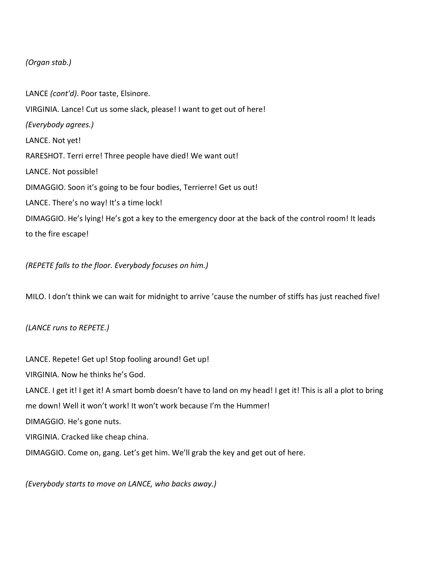# *(Organ stab.)*

LANCE *(cont'd)*. Poor taste, Elsinore. VIRGINIA. Lance! Cut us some slack, please! I want to get out of here! *(Everybody agrees.)* LANCE. Not yet! RARESHOT. Terri erre! Three people have died! We want out! LANCE. Not possible! DIMAGGIO. Soon it's going to be four bodies, Terrierre! Get us out! LANCE. There's no way! It's a time lock! DIMAGGIO. He's lying! He's got a key to the emergency door at the back of the control room! It leads to the fire escape!

*(REPETE falls to the floor. Everybody focuses on him.)*

MILO. I don't think we can wait for midnight to arrive 'cause the number of stiffs has just reached five!

#### *(LANCE runs to REPETE.)*

LANCE. Repete! Get up! Stop fooling around! Get up! VIRGINIA. Now he thinks he's God. LANCE. I get it! I get it! A smart bomb doesn't have to land on my head! I get it! This is all a plot to bring me down! Well it won't work! It won't work because I'm the Hummer! DIMAGGIO. He's gone nuts. VIRGINIA. Cracked like cheap china. DIMAGGIO. Come on, gang. Let's get him. We'll grab the key and get out of here.

*(Everybody starts to move on LANCE, who backs away.)*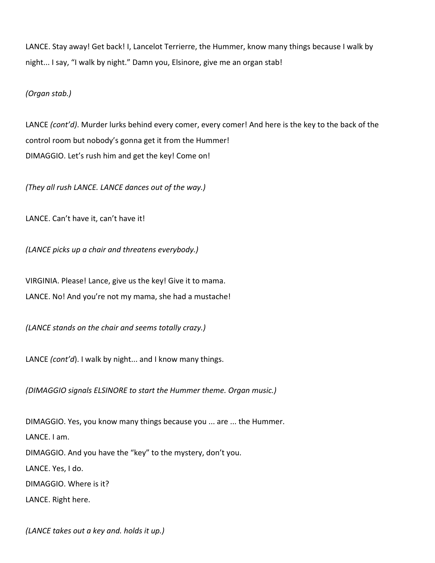LANCE. Stay away! Get back! I, Lancelot Terrierre, the Hummer, know many things because I walk by night... I say, "I walk by night." Damn you, Elsinore, give me an organ stab!

*(Organ stab.)*

LANCE *(cont'd)*. Murder lurks behind every comer, every comer! And here is the key to the back of the control room but nobody's gonna get it from the Hummer! DIMAGGIO. Let's rush him and get the key! Come on!

*(They all rush LANCE. LANCE dances out of the way.)*

LANCE. Can't have it, can't have it!

*(LANCE picks up a chair and threatens everybody.)*

VIRGINIA. Please! Lance, give us the key! Give it to mama. LANCE. No! And you're not my mama, she had a mustache!

*(LANCE stands on the chair and seems totally crazy.)*

LANCE *(cont'd*). I walk by night... and I know many things.

*(DIMAGGIO signals ELSINORE to start the Hummer theme. Organ music.)*

DIMAGGIO. Yes, you know many things because you ... are ... the Hummer. LANCE. I am. DIMAGGIO. And you have the "key" to the mystery, don't you. LANCE. Yes, I do. DIMAGGIO. Where is it? LANCE. Right here.

*(LANCE takes out a key and. holds it up.)*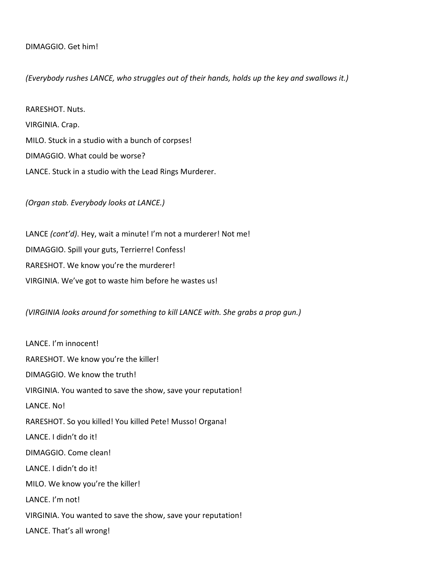## DIMAGGIO. Get him!

## *(Everybody rushes LANCE, who struggles out of their hands, holds up the key and swallows it.)*

RARESHOT. Nuts. VIRGINIA. Crap. MILO. Stuck in a studio with a bunch of corpses! DIMAGGIO. What could be worse? LANCE. Stuck in a studio with the Lead Rings Murderer.

*(Organ stab. Everybody looks at LANCE.)*

LANCE *(cont'd)*. Hey, wait a minute! I'm not a murderer! Not me! DIMAGGIO. Spill your guts, Terrierre! Confess! RARESHOT. We know you're the murderer! VIRGINIA. We've got to waste him before he wastes us!

*(VIRGINIA looks around for something to kill LANCE with. She grabs a prop gun.)*

LANCE. I'm innocent! RARESHOT. We know you're the killer! DIMAGGIO. We know the truth! VIRGINIA. You wanted to save the show, save your reputation! LANCE. No! RARESHOT. So you killed! You killed Pete! Musso! Organa! LANCE. I didn't do it! DIMAGGIO. Come clean! LANCE. I didn't do it! MILO. We know you're the killer! LANCE. I'm not! VIRGINIA. You wanted to save the show, save your reputation! LANCE. That's all wrong!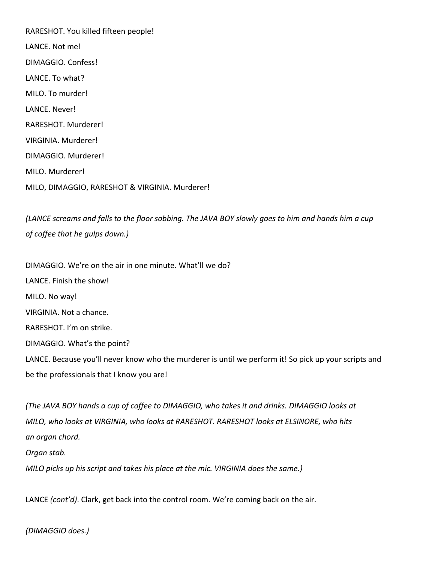RARESHOT. You killed fifteen people! LANCE. Not me! DIMAGGIO. Confess! LANCE. To what? MILO. To murder! LANCE. Never! RARESHOT. Murderer! VIRGINIA. Murderer! DIMAGGIO. Murderer! MILO. Murderer! MILO, DIMAGGIO, RARESHOT & VIRGINIA. Murderer!

*(LANCE screams and falls to the floor sobbing. The JAVA BOY slowly goes to him and hands him a cup of coffee that he gulps down.)*

DIMAGGIO. We're on the air in one minute. What'll we do? LANCE. Finish the show! MILO. No way! VIRGINIA. Not a chance. RARESHOT. I'm on strike. DIMAGGIO. What's the point? LANCE. Because you'll never know who the murderer is until we perform it! So pick up your scripts and be the professionals that I know you are!

*(The JAVA BOY hands a cup of coffee to DIMAGGIO, who takes it and drinks. DIMAGGIO looks at MILO, who looks at VIRGINIA, who looks at RARESHOT. RARESHOT looks at ELSINORE, who hits an organ chord. Organ stab. MILO picks up his script and takes his place at the mic. VIRGINIA does the same.)*

LANCE *(cont'd)*. Clark, get back into the control room. We're coming back on the air.

*(DIMAGGIO does.)*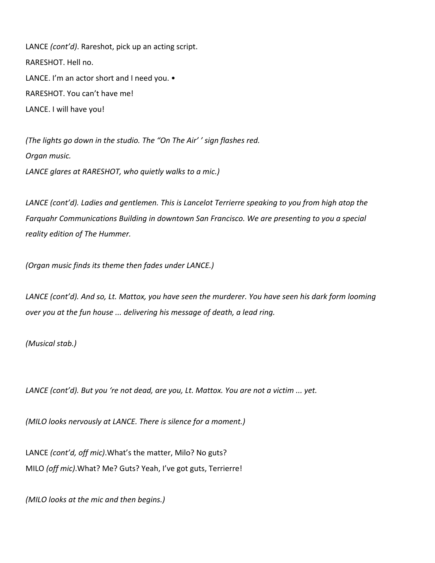LANCE *(cont'd)*. Rareshot, pick up an acting script. RARESHOT. Hell no. LANCE. I'm an actor short and I need you.  $\bullet$ RARESHOT. You can't have me! LANCE. I will have you!

*(The lights go down in the studio. The "On The Air' ' sign flashes red. Organ music. LANCE glares at RARESHOT, who quietly walks to a mic.)*

*LANCE (cont'd). Ladies and gentlemen. This is Lancelot Terrierre speaking to you from high atop the Farquahr Communications Building in downtown San Francisco. We are presenting to you a special reality edition of The Hummer.*

*(Organ music finds its theme then fades under LANCE.)*

*LANCE (cont'd). And so, Lt. Mattox, you have seen the murderer. You have seen his dark form looming over you at the fun house ... delivering his message of death, a lead ring.*

*(Musical stab.)*

*LANCE (cont'd). But you 're not dead, are you, Lt. Mattox. You are not a victim ... yet.*

*(MILO looks nervously at LANCE. There is silence for a moment.)*

LANCE *(cont'd, off mic)*.What's the matter, Milo? No guts? MILO *(off mic)*.What? Me? Guts? Yeah, I've got guts, Terrierre!

*(MILO looks at the mic and then begins.)*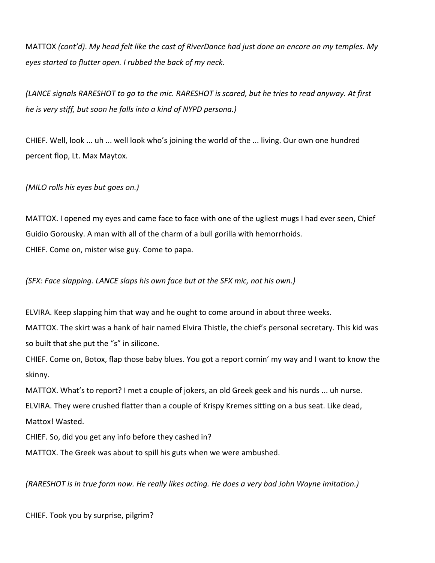MATTOX *(cont'd)*. *My head felt like the cast of RiverDance had just done an encore on my temples. My eyes started to flutter open. I rubbed the back of my neck.*

*(LANCE signals RARESHOT to go to the mic. RARESHOT is scared, but he tries to read anyway. At first he is very stiff, but soon he falls into a kind of NYPD persona.)*

CHIEF. Well, look ... uh ... well look who's joining the world of the ... living. Our own one hundred percent flop, Lt. Max Maytox.

*(MILO rolls his eyes but goes on.)*

MATTOX. I opened my eyes and came face to face with one of the ugliest mugs I had ever seen, Chief Guidio Gorousky. A man with all of the charm of a bull gorilla with hemorrhoids. CHIEF. Come on, mister wise guy. Come to papa.

*(SFX: Face slapping. LANCE slaps his own face but at the SFX mic, not his own.)*

ELVIRA. Keep slapping him that way and he ought to come around in about three weeks.

MATTOX. The skirt was a hank of hair named Elvira Thistle, the chief's personal secretary. This kid was so built that she put the "s" in silicone.

CHIEF. Come on, Botox, flap those baby blues. You got a report cornin' my way and I want to know the skinny.

MATTOX. What's to report? I met a couple of jokers, an old Greek geek and his nurds ... uh nurse. ELVIRA. They were crushed flatter than a couple of Krispy Kremes sitting on a bus seat. Like dead, Mattox! Wasted.

CHIEF. So, did you get any info before they cashed in?

MATTOX. The Greek was about to spill his guts when we were ambushed.

*(RARESHOT is in true form now. He really likes acting. He does a very bad John Wayne imitation.)*

CHIEF. Took you by surprise, pilgrim?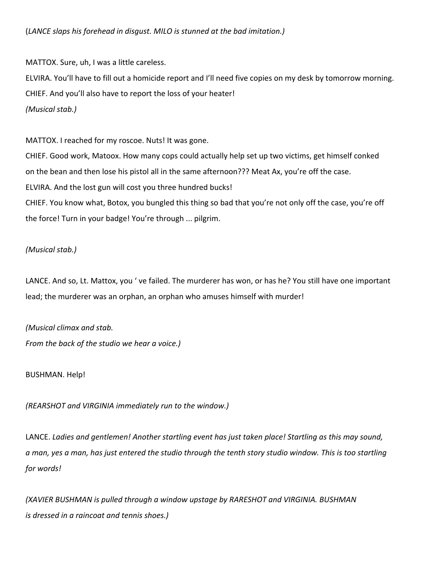MATTOX. Sure, uh, I was a little careless.

ELVIRA. You'll have to fill out a homicide report and I'll need five copies on my desk by tomorrow morning. CHIEF. And you'll also have to report the loss of your heater! *(Musical stab.)*

MATTOX. I reached for my roscoe. Nuts! It was gone.

CHIEF. Good work, Matoox. How many cops could actually help set up two victims, get himself conked on the bean and then lose his pistol all in the same afternoon??? Meat Ax, you're off the case. ELVIRA. And the lost gun will cost you three hundred bucks! CHIEF. You know what, Botox, you bungled this thing so bad that you're not only off the case, you're off

the force! Turn in your badge! You're through ... pilgrim.

## *(Musical stab.)*

LANCE. And so, Lt. Mattox, you ' ve failed. The murderer has won, or has he? You still have one important lead; the murderer was an orphan, an orphan who amuses himself with murder!

*(Musical climax and stab. From the back of the studio we hear a voice.)*

BUSHMAN. Help!

*(REARSHOT and VIRGINIA immediately run to the window.)*

LANCE. *Ladies and gentlemen! Another startling event has just taken place! Startling as this may sound, a man, yes a man, has just entered the studio through the tenth story studio window. This is too startling for words!*

*(XAVIER BUSHMAN is pulled through a window upstage by RARESHOT and VIRGINIA. BUSHMAN is dressed in a raincoat and tennis shoes.)*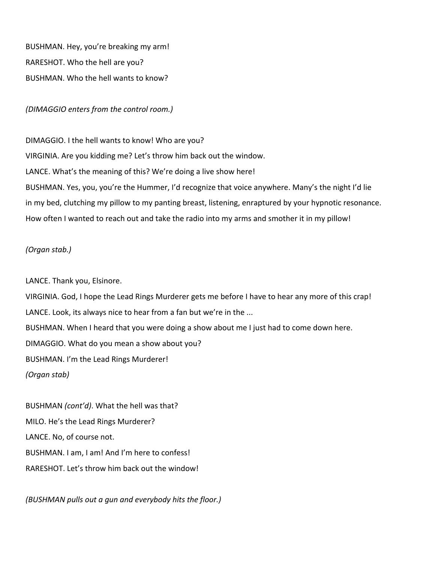BUSHMAN. Hey, you're breaking my arm! RARESHOT. Who the hell are you? BUSHMAN. Who the hell wants to know?

## *(DIMAGGIO enters from the control room.)*

DIMAGGIO. I the hell wants to know! Who are you? VIRGINIA. Are you kidding me? Let's throw him back out the window. LANCE. What's the meaning of this? We're doing a live show here! BUSHMAN. Yes, you, you're the Hummer, I'd recognize that voice anywhere. Many's the night I'd lie in my bed, clutching my pillow to my panting breast, listening, enraptured by your hypnotic resonance. How often I wanted to reach out and take the radio into my arms and smother it in my pillow!

#### *(Organ stab.)*

LANCE. Thank you, Elsinore. VIRGINIA. God, I hope the Lead Rings Murderer gets me before I have to hear any more of this crap! LANCE. Look, its always nice to hear from a fan but we're in the ... BUSHMAN. When I heard that you were doing a show about me I just had to come down here. DIMAGGIO. What do you mean a show about you? BUSHMAN. I'm the Lead Rings Murderer! *(Organ stab)*

BUSHMAN *(cont'd)*. What the hell was that? MILO. He's the Lead Rings Murderer? LANCE. No, of course not. BUSHMAN. I am, I am! And I'm here to confess! RARESHOT. Let's throw him back out the window!

*(BUSHMAN pulls out a gun and everybody hits the floor.)*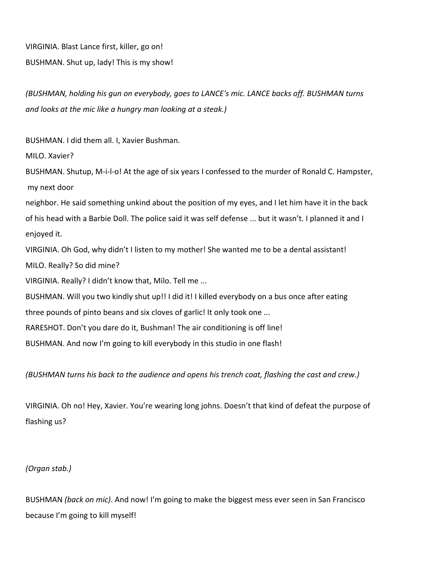VIRGINIA. Blast Lance first, killer, go on! BUSHMAN. Shut up, lady! This is my show!

*(BUSHMAN, holding his gun on everybody, goes to LANCE's mic. LANCE backs off. BUSHMAN turns and looks at the mic like a hungry man looking at a steak.)*

BUSHMAN. I did them all. I, Xavier Bushman.

MILO. Xavier?

BUSHMAN. Shutup, M-i-l-o! At the age of six years I confessed to the murder of Ronald C. Hampster, my next door

neighbor. He said something unkind about the position of my eyes, and I let him have it in the back of his head with a Barbie Doll. The police said it was self defense ... but it wasn't. I planned it and I enjoyed it.

VIRGINIA. Oh God, why didn't I listen to my mother! She wanted me to be a dental assistant! MILO. Really? So did mine?

VIRGINIA. Really? I didn't know that, Milo. Tell me ...

BUSHMAN. Will you two kindly shut up!! I did it! I killed everybody on a bus once after eating

three pounds of pinto beans and six cloves of garlic! It only took one ...

RARESHOT. Don't you dare do it, Bushman! The air conditioning is off line!

BUSHMAN. And now I'm going to kill everybody in this studio in one flash!

*(BUSHMAN turns his back to the audience and opens his trench coat, flashing the cast and crew.)*

VIRGINIA. Oh no! Hey, Xavier. You're wearing long johns. Doesn't that kind of defeat the purpose of flashing us?

*(Organ stab.)*

BUSHMAN *(back on mic)*. And now! I'm going to make the biggest mess ever seen in San Francisco because I'm going to kill myself!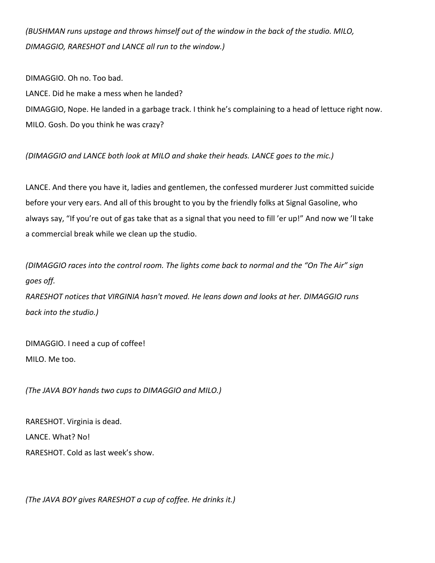*(BUSHMAN runs upstage and throws himself out of the window in the back of the studio. MILO, DIMAGGIO, RARESHOT and LANCE all run to the window.)*

DIMAGGIO. Oh no. Too bad.

LANCE. Did he make a mess when he landed?

DIMAGGIO, Nope. He landed in a garbage track. I think he's complaining to a head of lettuce right now. MILO. Gosh. Do you think he was crazy?

*(DIMAGGIO and LANCE both look at MILO and shake their heads. LANCE goes to the mic.)*

LANCE. And there you have it, ladies and gentlemen, the confessed murderer Just committed suicide before your very ears. And all of this brought to you by the friendly folks at Signal Gasoline, who always say, "If you're out of gas take that as a signal that you need to fill 'er up!" And now we 'll take a commercial break while we clean up the studio.

*(DIMAGGIO races into the control room. The lights come back to normal and the "On The Air" sign goes off.*

*RARESHOT notices that VIRGINIA hasn't moved. He leans down and looks at her. DIMAGGIO runs back into the studio.)*

DIMAGGIO. I need a cup of coffee! MILO. Me too.

*(The JAVA BOY hands two cups to DIMAGGIO and MILO.)*

RARESHOT. Virginia is dead. LANCE. What? No! RARESHOT. Cold as last week's show.

*(The JAVA BOY gives RARESHOT a cup of coffee. He drinks it.)*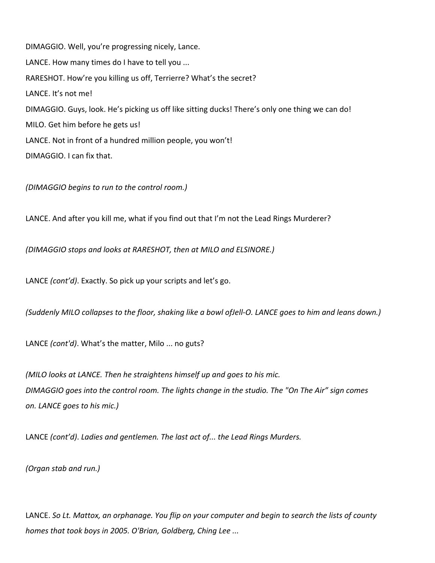DIMAGGIO. Well, you're progressing nicely, Lance. LANCE. How many times do I have to tell you ... RARESHOT. How're you killing us off, Terrierre? What's the secret? LANCE. It's not me! DIMAGGIO. Guys, look. He's picking us off like sitting ducks! There's only one thing we can do! MILO. Get him before he gets us! LANCE. Not in front of a hundred million people, you won't! DIMAGGIO. I can fix that.

*(DIMAGGIO begins to run to the control room.)*

LANCE. And after you kill me, what if you find out that I'm not the Lead Rings Murderer?

*(DIMAGGIO stops and looks at RARESHOT, then at MILO and ELSINORE.)*

LANCE *(cont'd)*. Exactly. So pick up your scripts and let's go.

*(Suddenly MILO collapses to the floor, shaking like a bowl ofJell-O. LANCE goes to him and leans down.)*

LANCE *(cont'd)*. What's the matter, Milo ... no guts?

*(MILO looks at LANCE. Then he straightens himself up and goes to his mic. DIMAGGIO goes into the control room. The lights change in the studio. The "On The Air" sign comes on. LANCE goes to his mic.)*

LANCE *(cont'd)*. *Ladies and gentlemen. The last act of... the Lead Rings Murders.*

*(Organ stab and run.)*

LANCE. *So Lt. Mattox, an orphanage. You flip on your computer and begin to search the lists of county homes that took boys in 2005. O'Brian, Goldberg, Ching Lee ...*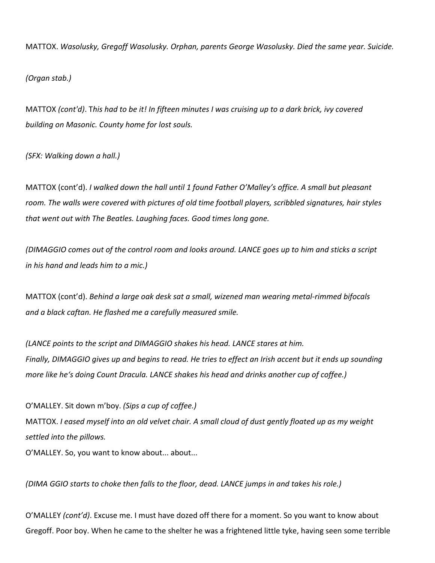MATTOX. *Wasolusky, Gregoff Wasolusky. Orphan, parents George Wasolusky. Died the same year. Suicide.* 

*(Organ stab.)*

MATTOX *(cont'd)*. T*his had to be it! In fifteen minutes I was cruising up to a dark brick, ivy covered building on Masonic. County home for lost souls.*

*(SFX: Walking down a hall.)*

MATTOX (cont'd). *I walked down the hall until 1 found Father O'Malley's office. A small but pleasant room. The walls were covered with pictures of old time football players, scribbled signatures, hair styles that went out with The Beatles. Laughing faces. Good times long gone.*

*(DIMAGGIO comes out of the control room and looks around. LANCE goes up to him and sticks a script in his hand and leads him to a mic.)*

MATTOX (cont'd). *Behind a large oak desk sat a small, wizened man wearing metal-rimmed bifocals and a black caftan. He flashed me a carefully measured smile.*

*(LANCE points to the script and DIMAGGIO shakes his head. LANCE stares at him. Finally, DIMAGGIO gives up and begins to read. He tries to effect an Irish accent but it ends up sounding more like he's doing Count Dracula. LANCE shakes his head and drinks another cup of coffee.)*

O'MALLEY. Sit down m'boy. *(Sips a cup of coffee.)* MATTOX. *I eased myself into an old velvet chair. A small cloud of dust gently floated up as my weight settled into the pillows.* O'MALLEY. So, you want to know about... about...

*(DIMA GGIO starts to choke then falls to the floor, dead. LANCE jumps in and takes his role.)*

O'MALLEY *(cont'd)*. Excuse me. I must have dozed off there for a moment. So you want to know about Gregoff. Poor boy. When he came to the shelter he was a frightened little tyke, having seen some terrible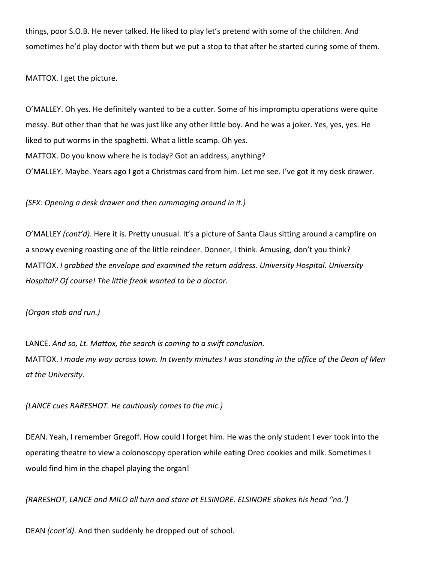things, poor S.O.B. He never talked. He liked to play let's pretend with some of the children. And sometimes he'd play doctor with them but we put a stop to that after he started curing some of them.

MATTOX. I get the picture.

O'MALLEY. Oh yes. He definitely wanted to be a cutter. Some of his impromptu operations were quite messy. But other than that he was just like any other little boy. And he was a joker. Yes, yes, yes. He liked to put worms in the spaghetti. What a little scamp. Oh yes. MATTOX. Do you know where he is today? Got an address, anything? O'MALLEY. Maybe. Years ago I got a Christmas card from him. Let me see. I've got it my desk drawer.

*(SFX: Opening a desk drawer and then rummaging around in it.)*

O'MALLEY *(cont'd)*. Here it is. Pretty unusual. It's a picture of Santa Claus sitting around a campfire on a snowy evening roasting one of the little reindeer. Donner, I think. Amusing, don't you think? MATTOX. *I grabbed the envelope and examined the return address. University Hospital. University Hospital? Of course! The little freak wanted to be a doctor.*

*(Organ stab and run.)*

LANCE. *And so, Lt. Mattox, the search is coming to a swift conclusion.* MATTOX. *I made my way across town. In twenty minutes I was standing in the office of the Dean of Men at the University.*

*(LANCE cues RARESHOT. He cautiously comes to the mic.)*

DEAN. Yeah, I remember Gregoff. How could I forget him. He was the only student I ever took into the operating theatre to view a colonoscopy operation while eating Oreo cookies and milk. Sometimes I would find him in the chapel playing the organ!

*(RARESHOT, LANCE and MILO all turn and stare at ELSINORE. ELSINORE shakes his head "no.')*

DEAN *(cont'd)*. And then suddenly he dropped out of school.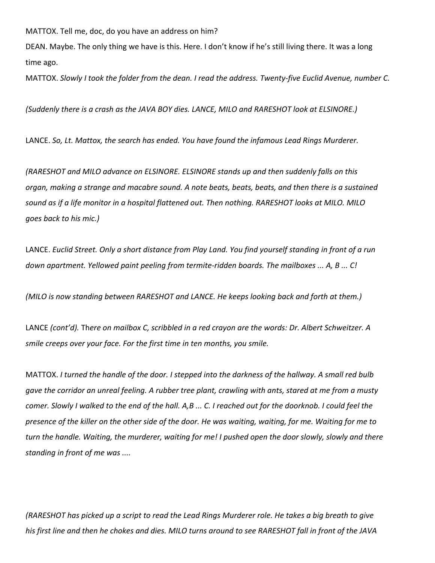MATTOX. Tell me, doc, do you have an address on him?

DEAN. Maybe. The only thing we have is this. Here. I don't know if he's still living there. It was a long time ago.

MATTOX. *Slowly I took the folder from the dean. I read the address. Twenty-five Euclid Avenue, number C.*

*(Suddenly there is a crash as the JAVA BOY dies. LANCE, MILO and RARESHOT look at ELSINORE.)*

LANCE. *So, Lt. Mattox, the search has ended. You have found the infamous Lead Rings Murderer.*

*(RARESHOT and MILO advance on ELSINORE. ELSINORE stands up and then suddenly falls on this organ, making a strange and macabre sound. A note beats, beats, beats, and then there is a sustained sound as if a life monitor in a hospital flattened out. Then nothing. RARESHOT looks at MILO. MILO goes back to his mic.)*

LANCE. *Euclid Street. Only a short distance from Play Land. You find yourself standing in front of a run down apartment. Yellowed paint peeling from termite-ridden boards. The mailboxes ... A, B ... C!*

*(MILO is now standing between RARESHOT and LANCE. He keeps looking back and forth at them.)*

LANCE *(cont'd).* Th*ere on mailbox C, scribbled in a red crayon are the words: Dr. Albert Schweitzer. A smile creeps over your face. For the first time in ten months, you smile.*

MATTOX. *I turned the handle of the door. I stepped into the darkness of the hallway. A small red bulb gave the corridor an unreal feeling. A rubber tree plant, crawling with ants, stared at me from a musty comer. Slowly I walked to the end of the hall. A,B ... C. I reached out for the doorknob. I could feel the presence of the killer on the other side of the door. He was waiting, waiting, for me. Waiting for me to turn the handle. Waiting, the murderer, waiting for me! I pushed open the door slowly, slowly and there standing in front of me was ....*

*(RARESHOT has picked up a script to read the Lead Rings Murderer role. He takes a big breath to give his first line and then he chokes and dies. MILO turns around to see RARESHOT fall in front of the JAVA*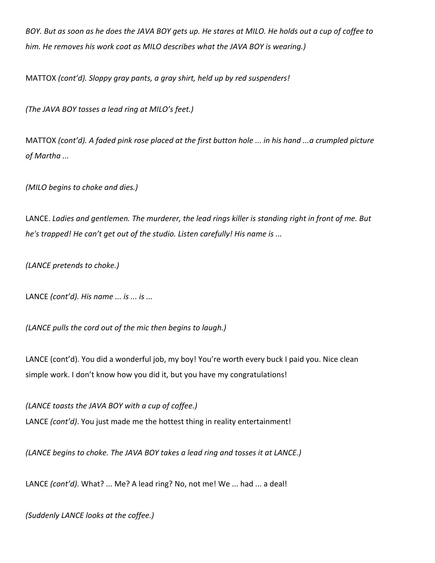*BOY. But as soon as he does the JAVA BOY gets up. He stares at MILO. He holds out a cup of coffee to him. He removes his work coat as MILO describes what the JAVA BOY is wearing.)*

MATTOX *(cont'd). Sloppy gray pants, a gray shirt, held up by red suspenders!*

*(The JAVA BOY tosses a lead ring at MILO's feet.)*

MATTOX *(cont'd). A faded pink rose placed at the first button hole ... in his hand ...a crumpled picture of Martha ...*

*(MILO begins to choke and dies.)*

LANCE. *Ladies and gentlemen. The murderer, the lead rings killer is standing right in front of me. But he's trapped! He can't get out of the studio. Listen carefully! His name is ...*

*(LANCE pretends to choke.)*

LANCE *(cont'd). His name ... is ... is ...*

*(LANCE pulls the cord out of the mic then begins to laugh.)*

LANCE (cont'd). You did a wonderful job, my boy! You're worth every buck I paid you. Nice clean simple work. I don't know how you did it, but you have my congratulations!

*(LANCE toasts the JAVA BOY with a cup of coffee.)*

LANCE *(cont'd)*. You just made me the hottest thing in reality entertainment!

*(LANCE begins to choke. The JAVA BOY takes a lead ring and tosses it at LANCE.)*

LANCE *(cont'd)*. What? ... Me? A lead ring? No, not me! We ... had ... a deal!

*(Suddenly LANCE looks at the coffee.)*